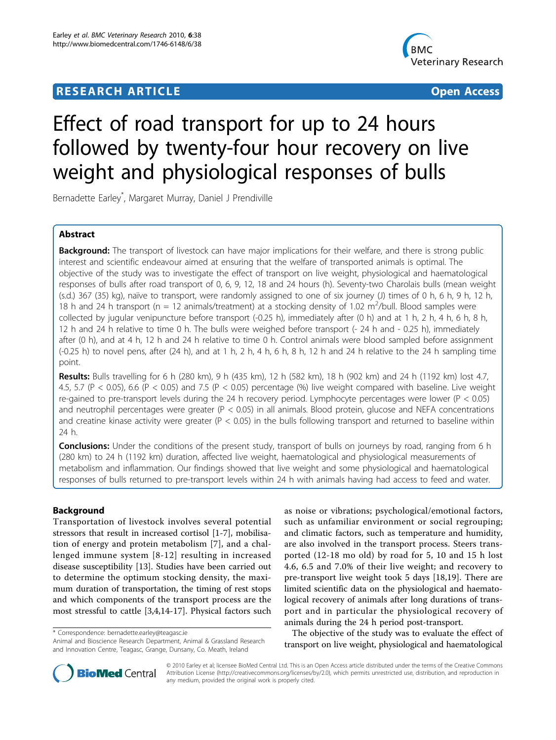# **RESEARCH ARTICLE Example 2018 12:30 The Contract of Contract ACCESS**



# Effect of road transport for up to 24 hours followed by twenty-four hour recovery on live weight and physiological responses of bulls

Bernadette Earley\* , Margaret Murray, Daniel J Prendiville

# Abstract

**Background:** The transport of livestock can have major implications for their welfare, and there is strong public interest and scientific endeavour aimed at ensuring that the welfare of transported animals is optimal. The objective of the study was to investigate the effect of transport on live weight, physiological and haematological responses of bulls after road transport of 0, 6, 9, 12, 18 and 24 hours (h). Seventy-two Charolais bulls (mean weight (s.d.) 367 (35) kg), naïve to transport, were randomly assigned to one of six journey (J) times of 0 h, 6 h, 9 h, 12 h, 18 h and 24 h transport ( $n = 12$  animals/treatment) at a stocking density of 1.02 m<sup>2</sup>/bull. Blood samples were collected by jugular venipuncture before transport (-0.25 h), immediately after (0 h) and at 1 h, 2 h, 4 h, 6 h, 8 h, 12 h and 24 h relative to time 0 h. The bulls were weighed before transport (- 24 h and - 0.25 h), immediately after (0 h), and at 4 h, 12 h and 24 h relative to time 0 h. Control animals were blood sampled before assignment  $(-0.25 \text{ h})$  to novel pens, after  $(24 \text{ h})$ , and at 1 h, 2 h, 4 h, 6 h, 8 h, 12 h and 24 h relative to the 24 h sampling time point.

Results: Bulls travelling for 6 h (280 km), 9 h (435 km), 12 h (582 km), 18 h (902 km) and 24 h (1192 km) lost 4.7, 4.5, 5.7 (P < 0.05), 6.6 (P < 0.05) and 7.5 (P < 0.05) percentage (%) live weight compared with baseline. Live weight re-gained to pre-transport levels during the 24 h recovery period. Lymphocyte percentages were lower (P < 0.05) and neutrophil percentages were greater ( $P < 0.05$ ) in all animals. Blood protein, glucose and NEFA concentrations and creatine kinase activity were greater ( $P < 0.05$ ) in the bulls following transport and returned to baseline within 24 h.

**Conclusions:** Under the conditions of the present study, transport of bulls on journeys by road, ranging from 6 h (280 km) to 24 h (1192 km) duration, affected live weight, haematological and physiological measurements of metabolism and inflammation. Our findings showed that live weight and some physiological and haematological responses of bulls returned to pre-transport levels within 24 h with animals having had access to feed and water.

# Background

Transportation of livestock involves several potential stressors that result in increased cortisol [[1-7](#page-11-0)], mobilisation of energy and protein metabolism [[7\]](#page-11-0), and a challenged immune system [[8](#page-11-0)-[12\]](#page-11-0) resulting in increased disease susceptibility [[13\]](#page-11-0). Studies have been carried out to determine the optimum stocking density, the maximum duration of transportation, the timing of rest stops and which components of the transport process are the most stressful to cattle [[3,4,14-17](#page-11-0)]. Physical factors such

\* Correspondence: [bernadette.earley@teagasc.ie](mailto:bernadette.earley@teagasc.ie)

Animal and Bioscience Research Department, Animal & Grassland Research and Innovation Centre, Teagasc, Grange, Dunsany, Co. Meath, Ireland

as noise or vibrations; psychological/emotional factors, such as unfamiliar environment or social regrouping; and climatic factors, such as temperature and humidity, are also involved in the transport process. Steers transported (12-18 mo old) by road for 5, 10 and 15 h lost 4.6, 6.5 and 7.0% of their live weight; and recovery to pre-transport live weight took 5 days [[18,19](#page-11-0)]. There are limited scientific data on the physiological and haematological recovery of animals after long durations of transport and in particular the physiological recovery of animals during the 24 h period post-transport.

The objective of the study was to evaluate the effect of transport on live weight, physiological and haematological



© 2010 Earley et al; licensee BioMed Central Ltd. This is an Open Access article distributed under the terms of the Creative Commons Attribution License [\(http://creativecommons.org/licenses/by/2.0](http://creativecommons.org/licenses/by/2.0)), which permits unrestricted use, distribution, and reproduction in any medium, provided the original work is properly cited.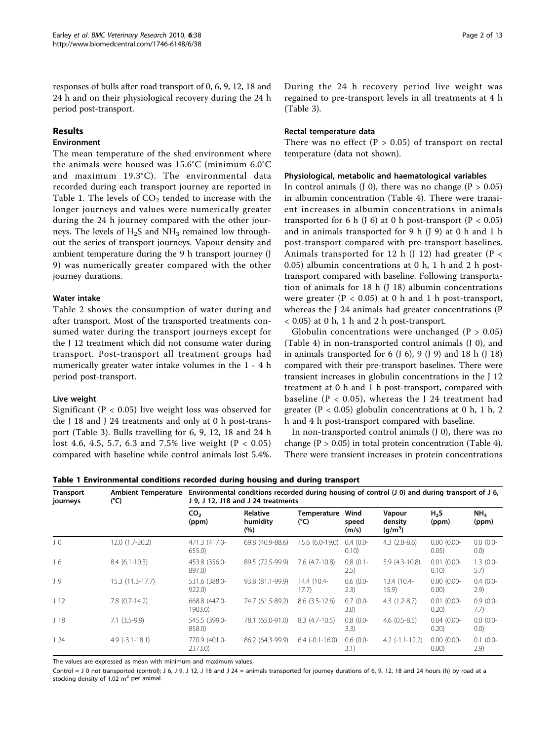responses of bulls after road transport of 0, 6, 9, 12, 18 and 24 h and on their physiological recovery during the 24 h period post-transport.

# Results

# Environment

The mean temperature of the shed environment where the animals were housed was 15.6°C (minimum 6.0°C and maximum 19.3°C). The environmental data recorded during each transport journey are reported in Table 1. The levels of  $CO<sub>2</sub>$  tended to increase with the longer journeys and values were numerically greater during the 24 h journey compared with the other journeys. The levels of  $H_2S$  and  $NH_3$  remained low throughout the series of transport journeys. Vapour density and ambient temperature during the 9 h transport journey (J 9) was numerically greater compared with the other journey durations.

# Water intake

Table [2](#page-2-0) shows the consumption of water during and after transport. Most of the transported treatments consumed water during the transport journeys except for the J 12 treatment which did not consume water during transport. Post-transport all treatment groups had numerically greater water intake volumes in the 1 - 4 h period post-transport.

# Live weight

Significant (P < 0.05) live weight loss was observed for the J 18 and J 24 treatments and only at 0 h post-transport (Table [3\)](#page-2-0). Bulls travelling for 6, 9, 12, 18 and 24 h lost 4.6, 4.5, 5.7, 6.3 and 7.5% live weight (P < 0.05) compared with baseline while control animals lost 5.4%. During the 24 h recovery period live weight was regained to pre-transport levels in all treatments at 4 h (Table [3\)](#page-2-0).

#### Rectal temperature data

There was no effect ( $P > 0.05$ ) of transport on rectal temperature (data not shown).

### Physiological, metabolic and haematological variables

In control animals (J 0), there was no change ( $P > 0.05$ ) in albumin concentration (Table [4\)](#page-3-0). There were transient increases in albumin concentrations in animals transported for 6 h (J 6) at 0 h post-transport ( $P < 0.05$ ) and in animals transported for 9 h (J 9) at 0 h and 1 h post-transport compared with pre-transport baselines. Animals transported for 12 h (J 12) had greater ( $P <$ 0.05) albumin concentrations at 0 h, 1 h and 2 h posttransport compared with baseline. Following transportation of animals for 18 h (J 18) albumin concentrations were greater ( $P < 0.05$ ) at 0 h and 1 h post-transport, whereas the J 24 animals had greater concentrations (P < 0.05) at 0 h, 1 h and 2 h post-transport.

Globulin concentrations were unchanged  $(P > 0.05)$ (Table [4](#page-3-0)) in non-transported control animals (J 0), and in animals transported for 6  $($ J 6 $)$ , 9  $($ J 9 $)$  and 18 h  $($ J 18 $)$ compared with their pre-transport baselines. There were transient increases in globulin concentrations in the J 12 treatment at 0 h and 1 h post-transport, compared with baseline ( $P < 0.05$ ), whereas the J 24 treatment had greater ( $P < 0.05$ ) globulin concentrations at 0 h, 1 h, 2 h and 4 h post-transport compared with baseline.

In non-transported control animals (J 0), there was no change ( $P > 0.05$ ) in total protein concentration (Table [4](#page-3-0)). There were transient increases in protein concentrations

Table 1 Environmental conditions recorded during housing and during transport

| <b>Transport</b><br>journeys | <b>Ambient Temperature</b><br>$(^{\circ}C)$ |                          | Environmental conditions recorded during housing of control $(1 0)$ and during transport of $1 6$ ,<br>J 9, J 12, J18 and J 24 treatments |                              |                        |                                          |                           |                          |  |  |  |  |  |
|------------------------------|---------------------------------------------|--------------------------|-------------------------------------------------------------------------------------------------------------------------------------------|------------------------------|------------------------|------------------------------------------|---------------------------|--------------------------|--|--|--|--|--|
|                              |                                             | CO <sub>2</sub><br>(ppm) | <b>Relative</b><br>humidity<br>(%)                                                                                                        | Temperature<br>$(^{\circ}C)$ | Wind<br>speed<br>(m/s) | Vapour<br>density<br>(g/m <sup>3</sup> ) | H <sub>2</sub> S<br>(ppm) | NH <sub>3</sub><br>(ppm) |  |  |  |  |  |
| $J_{0}$                      | 12.0 (1.7-20.2)                             | 471.3 (417.0-<br>655.0   | 69.8 (40.9-88.6)                                                                                                                          | 15.6 (6.0-19.0)              | $0.4(0.0-$<br>0.10)    | $4.3(2.8-8.6)$                           | $0.00(0.00 -$<br>0.05)    | $0.0(0.0 -$<br>(0.0)     |  |  |  |  |  |
| J 6                          | $8.4(6.1-10.3)$                             | 453.8 (356.0-<br>897.0)  | 89.5 (72.5-99.9)                                                                                                                          | 7.6 (4.7-10.8)               | $0.8$ (0.1-<br>(2.5)   | $5.9(4.3-10.8)$                          | $0.01$ (0.00-<br>0.10)    | $1.3(0.0 -$<br>5.7)      |  |  |  |  |  |
| J 9                          | 15.3 (11.3-17.7)                            | 531.6 (388.0-<br>922.0   | 93.8 (81.1-99.9)                                                                                                                          | 14.4 (10.4-<br>17.7)         | $0.6(0.0-$<br>2.3)     | 13.4 (10.4-<br>15.9)                     | $0.00(0.00 -$<br>0.00)    | $0.4(0.0 -$<br>2.9)      |  |  |  |  |  |
| J <sub>12</sub>              | $7.8$ $(0.7-14.2)$                          | 668.8 (447.0-<br>1903.0) | 74.7 (61.5-89.2)                                                                                                                          | $8.6$ $(3.5 - 12.6)$         | $0.7(0.0 -$<br>3.0)    | $4.3(1.2-8.7)$                           | $0.01$ (0.00-<br>0.20)    | $0.9(0.0 -$<br>7.7)      |  |  |  |  |  |
| J <sub>18</sub>              | $7.1(3.5-9.9)$                              | 545.5 (399.0-<br>858.0)  | 78.1 (65.0-91.0)                                                                                                                          | $8.3$ (4.7-10.5)             | $0.8$ (0.0-<br>3.3)    | $4.6(0.5-8.5)$                           | $0.04(0.00 -$<br>0.20)    | $0.0(0.0 -$<br>(0.0)     |  |  |  |  |  |
| J24                          | $4.9$ ( $-3.1 - 18.1$ )                     | 770.9 (401.0-<br>2373.0) | 86.2 (64.3-99.9)                                                                                                                          | $6.4$ $(-0.1 - 16.0)$        | $0.6(0.0-$<br>3.1)     | $4.2$ (-1.1-12.2)                        | $0.00(0.00 -$<br>0.00)    | $0.1$ (0.0-<br>2.9)      |  |  |  |  |  |

The values are expressed as mean with minimum and maximum values.

Control = J 0 not transported (control); J 6, J 9, J 12, J 18 and J 24 = animals transported for journey durations of 6, 9, 12, 18 and 24 hours (h) by road at a stocking density of 1.02  $m^2$  per animal.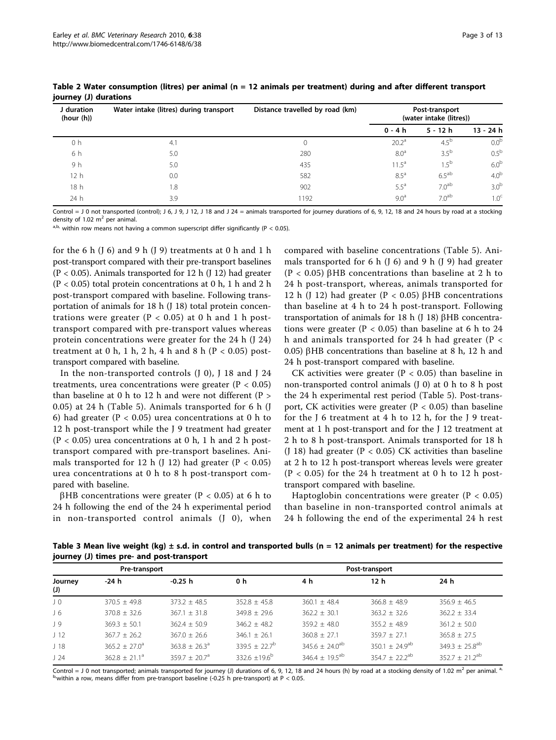| J duration<br>(hour(h)) | Water intake (litres) during transport | Distance travelled by road (km) | Post-transport<br>(water intake (litres)) |                   |                  |  |  |
|-------------------------|----------------------------------------|---------------------------------|-------------------------------------------|-------------------|------------------|--|--|
|                         |                                        |                                 | 0 - 4 h                                   | $5 - 12h$         | $13 - 24h$       |  |  |
| 0 h                     | 4.1                                    |                                 | 20.2 <sup>a</sup>                         | $4.5^{\circ}$     | 0.0 <sup>b</sup> |  |  |
| 6 h                     | 5.0                                    | 280                             | 8.0 <sup>a</sup>                          | 3.5 <sup>b</sup>  | 0.5 <sup>b</sup> |  |  |
| 9h                      | 5.0                                    | 435                             | $11.5^{\circ}$                            | $1.5^{b}$         | 6.0 <sup>b</sup> |  |  |
| 12 h                    | 0.0                                    | 582                             | $8.5^{\text{a}}$                          | $6.5^{ab}$        | 4.0 <sup>b</sup> |  |  |
| 18h                     | 1.8                                    | 902                             | $5.5^{\text{a}}$                          | 7.0 <sup>ab</sup> | 3.0 <sup>b</sup> |  |  |
| 24 h                    | 3.9                                    | 1192                            | $9.0^{\circ}$                             | 7.0 <sup>ab</sup> | 1.0 <sup>c</sup> |  |  |

<span id="page-2-0"></span>Table 2 Water consumption (litres) per animal (n = 12 animals per treatment) during and after different transport journey (J) durations

Control = J 0 not transported (control); J 6, J 9, J 12, J 18 and J 24 = animals transported for journey durations of 6, 9, 12, 18 and 24 hours by road at a stocking density of 1.02  $m^2$  per animal.

 $a, b$ , within row means not having a common superscript differ significantly (P < 0.05).

for the 6 h  $($ J 6 $)$  and 9 h  $($ J 9 $)$  treatments at 0 h and 1 h post-transport compared with their pre-transport baselines  $(P < 0.05)$ . Animals transported for 12 h  $(J 12)$  had greater (P < 0.05) total protein concentrations at 0 h, 1 h and 2 h post-transport compared with baseline. Following transportation of animals for 18 h (J 18) total protein concentrations were greater ( $P < 0.05$ ) at 0 h and 1 h posttransport compared with pre-transport values whereas protein concentrations were greater for the 24 h (J 24) treatment at 0 h, 1 h, 2 h, 4 h and 8 h ( $P < 0.05$ ) posttransport compared with baseline.

In the non-transported controls  $($  $]$  0 $)$ ,  $]$  18 and  $]$  24 treatments, urea concentrations were greater ( $P < 0.05$ ) than baseline at 0 h to 12 h and were not different ( $P >$ 0.05) at 24 h (Table [5\)](#page-3-0). Animals transported for 6 h (J 6) had greater ( $P < 0.05$ ) urea concentrations at 0 h to 12 h post-transport while the J 9 treatment had greater  $(P < 0.05)$  urea concentrations at 0 h, 1 h and 2 h posttransport compared with pre-transport baselines. Animals transported for 12 h (J 12) had greater  $(P < 0.05)$ urea concentrations at 0 h to 8 h post-transport compared with baseline.

 $βHB$  concentrations were greater (P < 0.05) at 6 h to 24 h following the end of the 24 h experimental period in non-transported control animals (J 0), when

compared with baseline concentrations (Table [5\)](#page-3-0). Animals transported for 6 h (J 6) and 9 h (J 9) had greater (P < 0.05)  $\beta$ HB concentrations than baseline at 2 h to 24 h post-transport, whereas, animals transported for 12 h (J 12) had greater (P < 0.05)  $\beta$ HB concentrations than baseline at 4 h to 24 h post-transport. Following transportation of animals for 18 h  $($  J 18)  $\beta$ HB concentrations were greater ( $P < 0.05$ ) than baseline at 6 h to 24 h and animals transported for 24 h had greater (P < 0.05)  $\beta$ HB concentrations than baseline at 8 h, 12 h and 24 h post-transport compared with baseline.

CK activities were greater ( $P < 0.05$ ) than baseline in non-transported control animals (J 0) at 0 h to 8 h post the 24 h experimental rest period (Table [5\)](#page-3-0). Post-transport, CK activities were greater ( $P < 0.05$ ) than baseline for the J 6 treatment at 4 h to 12 h, for the J 9 treatment at 1 h post-transport and for the J 12 treatment at 2 h to 8 h post-transport. Animals transported for 18 h (J 18) had greater ( $P < 0.05$ ) CK activities than baseline at 2 h to 12 h post-transport whereas levels were greater  $(P < 0.05)$  for the 24 h treatment at 0 h to 12 h posttransport compared with baseline.

Haptoglobin concentrations were greater ( $P < 0.05$ ) than baseline in non-transported control animals at 24 h following the end of the experimental 24 h rest

Table 3 Mean live weight (kg)  $\pm$  s.d. in control and transported bulls (n = 12 animals per treatment) for the respective journey (J) times pre- and post-transport

|                 | Pre-transport      |                          |                          | Post-transport                 |                       |                                |  |  |  |  |  |
|-----------------|--------------------|--------------------------|--------------------------|--------------------------------|-----------------------|--------------------------------|--|--|--|--|--|
| Journey<br>(J)  | -24 h              | -0.25 h                  | 0 h                      | 4 h                            | 12 <sub>h</sub>       | 24 h                           |  |  |  |  |  |
| $J_{0}$         | $370.5 \pm 49.8$   | $373.2 + 48.5$           | $352.8 \pm 45.8$         | $360.1 \pm 48.4$               | $366.8 \pm 48.9$      | $356.9 \pm 46.5$               |  |  |  |  |  |
| $J_6$           | $370.8 \pm 32.6$   | $367.1 \pm 31.8$         | $349.8 \pm 29.6$         | $362.2 \pm 30.1$               | $363.2 \pm 32.6$      | $362.2 \pm 33.4$               |  |  |  |  |  |
| J 9             | $369.3 \pm 50.1$   | $362.4 \pm 50.9$         | $346.2 + 48.2$           | $359.2 + 48.0$                 | $355.2 + 48.9$        | $361.2 \pm 50.0$               |  |  |  |  |  |
| J <sub>12</sub> | $367.7 \pm 26.2$   | $367.0 \pm 26.6$         | $346.1 + 26.1$           | $360.8 \pm 27.1$               | $359.7 \pm 27.1$      | $365.8 \pm 27.5$               |  |  |  |  |  |
| J <sub>18</sub> | $365.2 \pm 27.0^a$ | $363.8 \pm 26.3^{\circ}$ | $339.5 \pm 22.7^{\rm b}$ | $345.6 \pm 24.0$ <sup>ab</sup> | $350.1 \pm 24.9^{ab}$ | $349.3 \pm 25.8$ <sup>ab</sup> |  |  |  |  |  |
| J24             | $362.8 + 21.1a$    | $359.7 + 20.7a$          | $332.6 \pm 19.6^b$       | $346.4 \pm 19.5$ <sup>ab</sup> | $354.7 \pm 22.2^{ab}$ | $352.7 + 21.2^{ab}$            |  |  |  |  |  |

Control = J 0 not transported; animals transported for journey (J) durations of 6, 9, 12, 18 and 24 hours (h) by road at a stocking density of 1.02 m<sup>2</sup> per animal.<sup>a,</sup>  $\delta$ within a row, means differ from pre-transport baseline (-0.25 h pre-transport) at P < 0.05.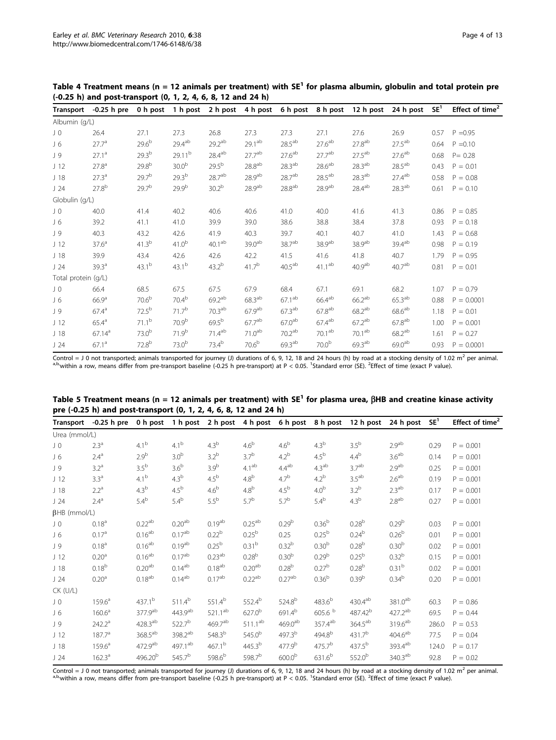| <b>Transport</b>    | $-0.25$ h pre      | 0 h post          | 1 h post           | 2 h post           | 4 h post             |                    | 6 h post 8 h post    | 12 h post          | 24 h post          | SE <sup>1</sup> | Effect of time <sup>2</sup> |
|---------------------|--------------------|-------------------|--------------------|--------------------|----------------------|--------------------|----------------------|--------------------|--------------------|-----------------|-----------------------------|
| Albumin (g/L)       |                    |                   |                    |                    |                      |                    |                      |                    |                    |                 |                             |
| JO                  | 26.4               | 27.1              | 27.3               | 26.8               | 27.3                 | 27.3               | 27.1                 | 27.6               | 26.9               | 0.57            | $P = 0.95$                  |
| $J_6$               | $27.7^{\circ}$     | $29.6^{b}$        | $29.4^{ab}$        | $29.2^{ab}$        | 29.1 <sup>ab</sup>   | $28.5^{ab}$        | 27.6 <sup>ab</sup>   | 27.8 <sup>ab</sup> | $27.5^{ab}$        | 0.64            | $P = 0.10$                  |
| J 9                 | $27.1^a$           | $29.3^{b}$        | 29.11 <sup>b</sup> | 28.4ab             | 27.7 <sup>ab</sup>   | 27.6 <sup>ab</sup> | 27.7 <sup>ab</sup>   | $27.5^{ab}$        | 27.6 <sup>ab</sup> | 0.68            | $P = 0.28$                  |
| J <sub>12</sub>     | $27.8^{\circ}$     | $29.8^{b}$        | 30.0 <sup>b</sup>  | $29.5^{b}$         | $28.8^{ab}$          | $28.3^{ab}$        | $28.6^{ab}$          | $28.3^{ab}$        | $28.5^{ab}$        | 0.43            | $P = 0.01$                  |
| J <sub>18</sub>     | $27.3^{\circ}$     | 29.7 <sup>b</sup> | 29.3 <sup>b</sup>  | 28.7 <sup>ab</sup> | $28.9$ <sup>ab</sup> | 28.7 <sup>ab</sup> | $28.5$ <sup>ab</sup> | 28.3 <sup>ab</sup> | $27.4^{ab}$        | 0.58            | $P = 0.08$                  |
| J24                 | $27.8^{b}$         | 29.7 <sup>b</sup> | $29.9^{b}$         | 30.2 <sup>b</sup>  | 28.9 <sup>ab</sup>   | $28.8^{ab}$        | 28.9 <sup>ab</sup>   | $28.4^{ab}$        | 28.3 <sup>ab</sup> | 0.61            | $P = 0.10$                  |
| Globulin (g/L)      |                    |                   |                    |                    |                      |                    |                      |                    |                    |                 |                             |
| JO                  | 40.0               | 41.4              | 40.2               | 40.6               | 40.6                 | 41.0               | 40.0                 | 41.6               | 41.3               | 0.86            | $P = 0.85$                  |
| J6                  | 39.2               | 41.1              | 41.0               | 39.9               | 39.0                 | 38.6               | 38.8                 | 38.4               | 37.8               | 0.93            | $P = 0.18$                  |
| J 9                 | 40.3               | 43.2              | 42.6               | 41.9               | 40.3                 | 39.7               | 40.1                 | 40.7               | 41.0               | 1.43            | $P = 0.68$                  |
| J <sub>12</sub>     | 37.6 <sup>a</sup>  | $41.3^{b}$        | $41.0^{b}$         | 40.1 <sup>ab</sup> | 39.0 <sup>ab</sup>   | 38.7 <sup>ab</sup> | 38.9 <sup>ab</sup>   | 38.9 <sup>ab</sup> | 39.4 <sup>ab</sup> | 0.98            | $P = 0.19$                  |
| J <sub>18</sub>     | 39.9               | 43.4              | 42.6               | 42.6               | 42.2                 | 41.5               | 41.6                 | 41.8               | 40.7               | 1.79            | $P = 0.95$                  |
| J24                 | $39.3^{\circ}$     | $43.1^{b}$        | $43.1^{b}$         | $43.2^{b}$         | $41.7^{b}$           | $40.5^{ab}$        | $41.1^{ab}$          | 40.9 <sup>ab</sup> | 40.7 <sup>ab</sup> | 0.81            | $P = 0.01$                  |
| Total protein (g/L) |                    |                   |                    |                    |                      |                    |                      |                    |                    |                 |                             |
| JO                  | 66.4               | 68.5              | 67.5               | 67.5               | 67.9                 | 68.4               | 67.1                 | 69.1               | 68.2               | 1.07            | $P = 0.79$                  |
| J6                  | 66.9 <sup>a</sup>  | 70.6 <sup>b</sup> | 70.4 <sup>b</sup>  | $69.2^{ab}$        | $68.3^{ab}$          | $67.1^{ab}$        | $66.4^{ab}$          | $66.2^{ab}$        | $65.3^{ab}$        | 0.88            | $P = 0.0001$                |
| J 9                 | $67.4^{\circ}$     | $72.5^{\rm b}$    | 71.7 <sup>b</sup>  | 70.3 <sup>ab</sup> | 67.9 <sup>ab</sup>   | $67.3^{ab}$        | 67.8 <sup>ab</sup>   | $68.2^{ab}$        | 68.6 <sup>ab</sup> | 1.18            | $P = 0.01$                  |
| J <sub>12</sub>     | 65.4 <sup>a</sup>  | 71.1 <sup>b</sup> | 70.9 <sup>b</sup>  | $69.5^{b}$         | 67.7 <sup>ab</sup>   | 67.0 <sup>ab</sup> | $67.4^{ab}$          | $67.2^{ab}$        | $67.8^{ab}$        | 1.00            | $P = 0.001$                 |
| J <sub>18</sub>     | 67.14 <sup>a</sup> | 73.0 <sup>b</sup> | $71.9^{b}$         | 71.4 <sup>ab</sup> | 71.0 <sup>ab</sup>   | 70.2 <sup>ab</sup> | 70.1 <sup>ab</sup>   | 70.1 <sup>ab</sup> | $68.2^{ab}$        | 1.61            | $P = 0.27$                  |
| J24                 | $67.1^a$           | $72.8^{b}$        | 73.0 <sup>b</sup>  | $73.4^{b}$         | $70.6^{b}$           | 69.3 <sup>ab</sup> | 70.0 <sup>b</sup>    | 69.3 <sup>ab</sup> | 69.0 <sup>ab</sup> | 0.93            | $P = 0.0001$                |

<span id="page-3-0"></span>Table 4 Treatment means (n = 12 animals per treatment) with  $SE<sup>1</sup>$  for plasma albumin, globulin and total protein pre (-0.25 h) and post-transport (0, 1, 2, 4, 6, 8, 12 and 24 h)

| <b>Transport</b>    | -0.25 h pre 0 h post 1 h post 2 h post 4 h post 6 h post 8 h post 12 h post |                       |                     |                     |                    |                     |                         |                       | 24 h post           | SE <sup>1</sup> | Effect of time <sup>2</sup> |
|---------------------|-----------------------------------------------------------------------------|-----------------------|---------------------|---------------------|--------------------|---------------------|-------------------------|-----------------------|---------------------|-----------------|-----------------------------|
| Urea (mmol/L)       |                                                                             |                       |                     |                     |                    |                     |                         |                       |                     |                 |                             |
| J <sub>0</sub>      | 2.3 <sup>a</sup>                                                            | 4.1 <sup>b</sup>      | 4.1 <sup>b</sup>    | 4.3 <sup>b</sup>    | 4.6 <sup>b</sup>   | $4.6^{\rm b}$       | 4.3 <sup>b</sup>        | 3.5 <sup>b</sup>      | 2.9 <sup>ab</sup>   | 0.29            | $P = 0.001$                 |
| J6                  | 2.4 <sup>a</sup>                                                            | 2.9 <sup>b</sup>      | 3.0 <sup>b</sup>    | 3.2 <sup>b</sup>    | 3.7 <sup>b</sup>   | $4.2^b$             | $4.5^{\rm b}$           | $4.4^{\mathrm{b}}$    | 3.6 <sup>ab</sup>   | 0.14            | $P = 0.001$                 |
| J 9                 | 3.2 <sup>a</sup>                                                            | 3.5 <sup>b</sup>      | 3.6 <sup>b</sup>    | 3.9 <sup>b</sup>    | 4.1 <sup>ab</sup>  | $4.4^{ab}$          | 4.3 <sup>ab</sup>       | 3.7 <sup>ab</sup>     | 2.9 <sup>ab</sup>   | 0.25            | $P = 0.001$                 |
| J <sub>12</sub>     | 3.3 <sup>a</sup>                                                            | 4.1 <sup>b</sup>      | 4.3 <sup>b</sup>    | $4.5^{\rm b}$       | 4.8 <sup>b</sup>   | 4.7 <sup>b</sup>    | $4.2^b$                 | 3.5 <sup>ab</sup>     | 2.6 <sup>ab</sup>   | 0.19            | $P = 0.001$                 |
| J <sub>18</sub>     | 2.2 <sup>a</sup>                                                            | 4.3 <sup>b</sup>      | $4.5^{\rm b}$       | $4.6^{\rm b}$       | 4.8 <sup>b</sup>   | 4.5 <sup>b</sup>    | 4.0 <sup>b</sup>        | 3.2 <sup>b</sup>      | 2.3 <sup>ab</sup>   | 0.17            | $P = 0.001$                 |
| J24                 | 2.4 <sup>a</sup>                                                            | 5.4 <sup>b</sup>      | $5.4^b$             | 5.5 <sup>b</sup>    | 5.7 <sup>b</sup>   | 5.7 <sup>b</sup>    | $5.4^b$                 | 4.3 <sup>b</sup>      | 2.8 <sup>ab</sup>   | 0.27            | $P = 0.001$                 |
| $\beta$ HB (mmol/L) |                                                                             |                       |                     |                     |                    |                     |                         |                       |                     |                 |                             |
| JO                  | $0.18^{a}$                                                                  | $0.22^{ab}$           | 0.20 <sup>ab</sup>  | $0.19^{ab}$         | $0.25^{ab}$        | 0.29 <sup>b</sup>   | $0.36^{b}$              | $0.28^{b}$            | 0.29 <sup>b</sup>   | 0.03            | $P = 0.001$                 |
| J6                  | 0.17 <sup>a</sup>                                                           | $0.16^{ab}$           | $0.17^{ab}$         | 0.22 <sup>b</sup>   | $0.25^{b}$         | 0.25                | 0.25 <sup>b</sup>       | $0.24^{b}$            | $0.26^{b}$          | 0.01            | $P = 0.001$                 |
| J 9                 | $0.18^{a}$                                                                  | $0.16^{ab}$           | $0.19^{ab}$         | 0.25 <sup>b</sup>   | 0.31 <sup>b</sup>  | 0.32 <sup>b</sup>   | 0.30 <sup>b</sup>       | 0.28 <sup>b</sup>     | 0.30 <sup>b</sup>   | 0.02            | $P = 0.001$                 |
| J <sub>12</sub>     | 0.20 <sup>a</sup>                                                           | $0.16^{ab}$           | $0.17^{ab}$         | $0.23^{ab}$         | $0.28^{b}$         | 0.30 <sup>b</sup>   | 0.29 <sup>b</sup>       | $0.25^{b}$            | $0.32^{b}$          | 0.15            | $P = 0.001$                 |
| J <sub>18</sub>     | $0.18^{b}$                                                                  | 0.20 <sup>ab</sup>    | $0.14^{ab}$         | 0.18 <sup>ab</sup>  | $0.20^{ab}$        | 0.28 <sup>b</sup>   | 0.27 <sup>b</sup>       | 0.28 <sup>b</sup>     | 0.31 <sup>b</sup>   | 0.02            | $P = 0.001$                 |
| J24                 | 0.20 <sup>a</sup>                                                           | 0.18 <sup>ab</sup>    | $0.14^{ab}$         | 0.17 <sup>ab</sup>  | 0.22 <sup>ab</sup> | 0.27 <sup>ab</sup>  | 0.36 <sup>b</sup>       | 0.39 <sup>b</sup>     | $0.34^{b}$          | 0.20            | $P = 0.001$                 |
| <b>CK (U/L)</b>     |                                                                             |                       |                     |                     |                    |                     |                         |                       |                     |                 |                             |
| J <sub>0</sub>      | $159.6^a$                                                                   | 437.1 <sup>b</sup>    | $511.4^b$           | $551.4^b$           | 552.4 <sup>b</sup> | 524.8 <sup>b</sup>  | $483.6^{b}$             | $430.4^{\mathrm{ab}}$ | 381.0 <sup>ab</sup> | 60.3            | $P = 0.86$                  |
| J6                  | 160.6 <sup>a</sup>                                                          | 377.9ab               | 443.9 <sup>ab</sup> | $521.1^{ab}$        | $627.0^{b}$        | 691.4 <sup>b</sup>  | $605.6$ $^{\mathrm{b}}$ | 487.42 <sup>b</sup>   | 427.2 <sup>ab</sup> | 69.5            | $P = 0.44$                  |
| J 9                 | 242.2 <sup>a</sup>                                                          | $428.3^{\text{ab}}$   | $522.7^{b}$         | 469.7 <sup>ab</sup> | $511.1^{ab}$       | 469.0 <sup>ab</sup> | $357.4^{ab}$            | $364.5^{ab}$          | 319.6 <sup>ab</sup> | 286.0           | $P = 0.53$                  |
| J <sub>12</sub>     | 187.7 <sup>a</sup>                                                          | $368.5$ <sup>ab</sup> | $398.2^{ab}$        | $548.3^{b}$         | $545.0^{b}$        | 497.3 <sup>b</sup>  | 494.8 <sup>b</sup>      | 431.7 <sup>b</sup>    | $404.6^{ab}$        | 77.5            | $P = 0.04$                  |
| J <sub>18</sub>     | $159.6^a$                                                                   | 472.9 <sup>ab</sup>   | 497.1 <sup>ab</sup> | $467.1^{b}$         | $445.3^{b}$        | 477.9 <sup>b</sup>  | $475.7^{b}$             | $437.5^{b}$           | 393.4 <sup>ab</sup> | 124.0           | $P = 0.17$                  |
| J24                 | 162.3 <sup>a</sup>                                                          | 496.20 <sup>b</sup>   | 545.7 <sup>b</sup>  | 598.6 <sup>b</sup>  | 598.7 <sup>b</sup> | $600.0^{b}$         | 631.6 <sup>b</sup>      | $552.0^{b}$           | 340.3 <sup>ab</sup> | 92.8            | $P = 0.02$                  |

Table 5 Treatment means (n = 12 animals per treatment) with SE<sup>1</sup> for plasma urea,  $\beta$ HB and creatine kinase activity pre (-0.25 h) and post-transport (0, 1, 2, 4, 6, 8, 12 and 24 h)

Control = J 0 not transported; animals transported for journey (J) durations of 6, 9, 12, 18 and 24 hours (h) by road at a stocking density of 1.02 m<sup>2</sup> per animal. Standard error (SE). <sup>2</sup> Effect of time (exact P value).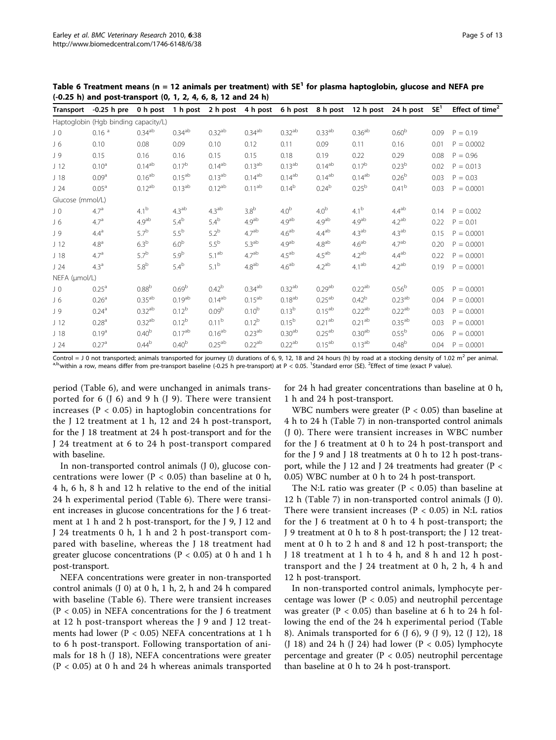| <b>Transport</b> | $-0.25$ h pre                        | 0 h post           | 1 h post             | 2 h post           |                      | 4 h post 6 h post 8 h post |                    | 12 h post          | 24 h post          | SE <sup>1</sup> | Effect of time <sup>2</sup> |
|------------------|--------------------------------------|--------------------|----------------------|--------------------|----------------------|----------------------------|--------------------|--------------------|--------------------|-----------------|-----------------------------|
|                  | Haptoglobin (Hgb binding capacity/L) |                    |                      |                    |                      |                            |                    |                    |                    |                 |                             |
| JO               | 0.16 <sup>a</sup>                    | $0.34^{ab}$        | $0.34$ <sup>ab</sup> | $0.32^{ab}$        | $0.34^{ab}$          | $0.32^{ab}$                | 0.33 <sup>ab</sup> | 0.36 <sup>ab</sup> | 0.60 <sup>b</sup>  | 0.09            | $P = 0.19$                  |
| J6               | 0.10                                 | 0.08               | 0.09                 | 0.10               | 0.12                 | 0.11                       | 0.09               | 0.11               | 0.16               | 0.01            | $P = 0.0002$                |
| J 9              | 0.15                                 | 0.16               | 0.16                 | 0.15               | 0.15                 | 0.18                       | 0.19               | 0.22               | 0.29               | 0.08            | $P = 0.96$                  |
| J <sub>12</sub>  | $0.10^a$                             | $0.14^{ab}$        | $0.17^{b}$           | $0.14^{ab}$        | $0.13^{ab}$          | $0.13^{ab}$                | $0.14^{ab}$        | $0.17^{b}$         | 0.23 <sup>b</sup>  | 0.02            | $P = 0.013$                 |
| J <sub>18</sub>  | 0.09 <sup>a</sup>                    | 0.16 <sup>ab</sup> | $0.15^{ab}$          | 0.13 <sup>ab</sup> | $0.14^{ab}$          | $0.14^{ab}$                | $0.14^{ab}$        | $0.14^{ab}$        | 0.26 <sup>b</sup>  | 0.03            | $P = 0.03$                  |
| J24              | 0.05 <sup>a</sup>                    | $0.12^{ab}$        | $0.13^{ab}$          | $0.12^{ab}$        | $0.11^{ab}$          | $0.14^{b}$                 | $0.24^{b}$         | 0.25 <sup>b</sup>  | 0.41 <sup>b</sup>  | 0.03            | $P = 0.0001$                |
| Glucose (mmol/L) |                                      |                    |                      |                    |                      |                            |                    |                    |                    |                 |                             |
| JO               | 4.7 <sup>a</sup>                     | 4.1 <sup>b</sup>   | 4.3 <sup>ab</sup>    | 4.3 <sup>ab</sup>  | 3.8 <sup>b</sup>     | 4.0 <sup>b</sup>           | 4.0 <sup>b</sup>   | 4.1 <sup>b</sup>   | $4.4^{ab}$         | 0.14            | $P = 0.002$                 |
| J6               | 4.7 <sup>a</sup>                     | 4.9 <sup>ab</sup>  | $5.4^b$              | $5.4^b$            | 4.9 <sup>ab</sup>    | 4.9 <sup>ab</sup>          | 4.9 <sup>ab</sup>  | 4.9 <sup>ab</sup>  | 4.2 <sup>ab</sup>  | 0.22            | $P = 0.01$                  |
| J 9              | $4.4^{\circ}$                        | 5.7 <sup>b</sup>   | $5.5^{\rm b}$        | $5.2^b$            | 4.7 <sup>ab</sup>    | 4.6 <sup>ab</sup>          | $4.4^{ab}$         | 4.3 <sup>ab</sup>  | 4.3 <sup>ab</sup>  | 0.15            | $P = 0.0001$                |
| J <sub>12</sub>  | 4.8 <sup>a</sup>                     | 6.3 <sup>b</sup>   | 6.0 <sup>b</sup>     | $5.5^{\rm b}$      | 5.3 <sup>ab</sup>    | 4.9 <sup>ab</sup>          | $4.8^{\rm ab}$     | 4.6 <sup>ab</sup>  | 4.7 <sup>ab</sup>  | 0.20            | $P = 0.0001$                |
| J <sub>18</sub>  | 4.7 <sup>a</sup>                     | 5.7 <sup>b</sup>   | 5.9 <sup>b</sup>     | 5.1 <sup>ab</sup>  | 4.7 <sup>ab</sup>    | 4.5 <sup>ab</sup>          | 4.5 <sup>ab</sup>  | 4.2 <sup>ab</sup>  | $4.4^{ab}$         | 0.22            | $P = 0.0001$                |
| J24              | 4.3 <sup>a</sup>                     | 5.8 <sup>b</sup>   | $5.4^{\rm b}$        | $5.1^{\rm b}$      | $4.8^{\rm ab}$       | 4.6 <sup>ab</sup>          | 4.2 <sup>ab</sup>  | 4.1 <sup>ab</sup>  | 4.2 <sup>ab</sup>  | 0.19            | $P = 0.0001$                |
| NEFA (µmol/L)    |                                      |                    |                      |                    |                      |                            |                    |                    |                    |                 |                             |
| JO               | $0.25^{\circ}$                       | 0.88 <sup>b</sup>  | 0.69 <sup>b</sup>    | $0.42^{b}$         | $0.34$ <sup>ab</sup> | $0.32^{ab}$                | 0.29 <sup>ab</sup> | 0.22 <sup>ab</sup> | 0.56 <sup>b</sup>  | 0.05            | $P = 0.0001$                |
| $J_6$            | 0.26 <sup>a</sup>                    | 0.35 <sup>ab</sup> | $0.19^{ab}$          | 0.14 <sup>ab</sup> | $0.15^{ab}$          | $0.18^{ab}$                | 0.25 <sup>ab</sup> | $0.42^{b}$         | 0.23 <sup>ab</sup> | 0.04            | $P = 0.0001$                |
| J 9              | 0.24 <sup>a</sup>                    | $0.32^{ab}$        | $0.12^{b}$           | 0.09 <sup>b</sup>  | $0.10^{b}$           | 0.13 <sup>b</sup>          | $0.15^{ab}$        | 0.22 <sup>ab</sup> | 0.22 <sup>ab</sup> | 0.03            | $P = 0.0001$                |
| J <sub>12</sub>  | 0.28 <sup>a</sup>                    | 0.32 <sup>ab</sup> | $0.12^{b}$           | 0.11 <sup>b</sup>  | $0.12^{b}$           | $0.15^{b}$                 | 0.21 <sup>ab</sup> | 0.21 <sup>ab</sup> | 0.35 <sup>ab</sup> | 0.03            | $P = 0.0001$                |
| J <sub>18</sub>  | 0.19 <sup>a</sup>                    | 0.40 <sup>b</sup>  | $0.17^{ab}$          | $0.16^{ab}$        | $0.23^{\sf ab}$      | 0.30 <sup>ab</sup>         | $0.25^{ab}$        | 0.30 <sup>ab</sup> | 0.55 <sup>b</sup>  | 0.06            | $P = 0.0001$                |
| J24              | 0.27 <sup>a</sup>                    | $0.44^{b}$         | 0.40 <sup>b</sup>    | $0.25^{ab}$        | $0.22^{ab}$          | 0.22 <sup>ab</sup>         | $0.15^{ab}$        | $0.13^{ab}$        | 0.48 <sup>b</sup>  | 0.04            | $P = 0.0001$                |

Table 6 Treatment means (n = 12 animals per treatment) with  $SE<sup>1</sup>$  for plasma haptoglobin, glucose and NEFA pre (-0.25 h) and post-transport (0, 1, 2, 4, 6, 8, 12 and 24 h)

period (Table 6), and were unchanged in animals transported for 6 (J 6) and 9 h (J 9). There were transient increases ( $P < 0.05$ ) in haptoglobin concentrations for the J 12 treatment at 1 h, 12 and 24 h post-transport, for the J 18 treatment at 24 h post-transport and for the J 24 treatment at 6 to 24 h post-transport compared with baseline.

In non-transported control animals (J 0), glucose concentrations were lower ( $P < 0.05$ ) than baseline at 0 h, 4 h, 6 h, 8 h and 12 h relative to the end of the initial 24 h experimental period (Table 6). There were transient increases in glucose concentrations for the J 6 treatment at 1 h and 2 h post-transport, for the J 9, J 12 and J 24 treatments 0 h, 1 h and 2 h post-transport compared with baseline, whereas the J 18 treatment had greater glucose concentrations ( $P < 0.05$ ) at 0 h and 1 h post-transport.

NEFA concentrations were greater in non-transported control animals (J 0) at 0 h, 1 h, 2, h and 24 h compared with baseline (Table 6). There were transient increases  $(P < 0.05)$  in NEFA concentrations for the J 6 treatment at 12 h post-transport whereas the J 9 and J 12 treatments had lower ( $P < 0.05$ ) NEFA concentrations at 1 h to 6 h post-transport. Following transportation of animals for 18 h (J 18), NEFA concentrations were greater  $(P < 0.05)$  at 0 h and 24 h whereas animals transported for 24 h had greater concentrations than baseline at 0 h, 1 h and 24 h post-transport.

WBC numbers were greater ( $P < 0.05$ ) than baseline at 4 h to 24 h (Table [7](#page-5-0)) in non-transported control animals (J 0). There were transient increases in WBC number for the J 6 treatment at 0 h to 24 h post-transport and for the J 9 and J 18 treatments at 0 h to 12 h post-transport, while the J 12 and J 24 treatments had greater (P < 0.05) WBC number at 0 h to 24 h post-transport.

The N:L ratio was greater ( $P < 0.05$ ) than baseline at 12 h (Table [7](#page-5-0)) in non-transported control animals (J 0). There were transient increases ( $P < 0.05$ ) in N:L ratios for the J 6 treatment at 0 h to 4 h post-transport; the J 9 treatment at 0 h to 8 h post-transport; the J 12 treatment at 0 h to 2 h and 8 and 12 h post-transport; the J 18 treatment at 1 h to 4 h, and 8 h and 12 h posttransport and the J 24 treatment at 0 h, 2 h, 4 h and 12 h post-transport.

In non-transported control animals, lymphocyte percentage was lower ( $P < 0.05$ ) and neutrophil percentage was greater ( $P < 0.05$ ) than baseline at 6 h to 24 h following the end of the 24 h experimental period (Table [8\)](#page-5-0). Animals transported for 6 (J 6), 9 (J 9), 12 (J 12), 18 (J 18) and 24 h (J 24) had lower (P < 0.05) lymphocyte percentage and greater ( $P < 0.05$ ) neutrophil percentage than baseline at 0 h to 24 h post-transport.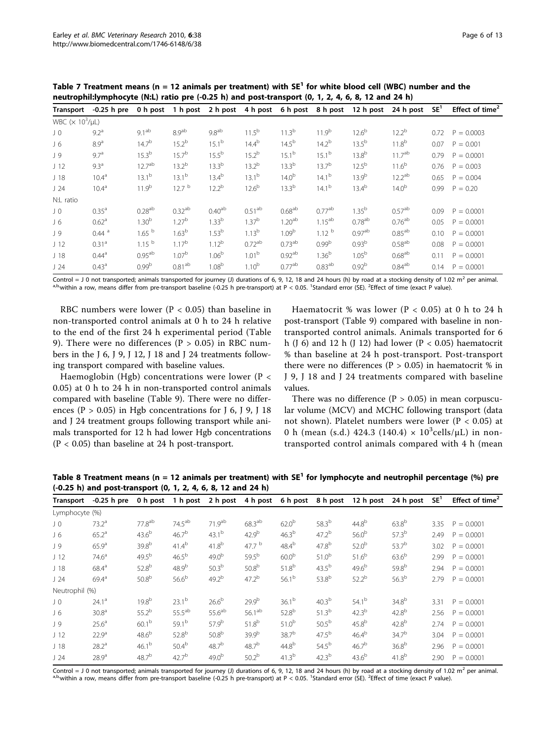<span id="page-5-0"></span>

| <b>Transport</b>                    | $-0.25$ h pre       | 0 h post           | 1 h post           |                    |                   | 2 h post 4 h post 6 h post | 8 h post          | 12 h post            | 24 h post            | SE <sup>1</sup> | Effect of time <sup>2</sup> |
|-------------------------------------|---------------------|--------------------|--------------------|--------------------|-------------------|----------------------------|-------------------|----------------------|----------------------|-----------------|-----------------------------|
| WBC ( $\times$ 10 <sup>3</sup> /µL) |                     |                    |                    |                    |                   |                            |                   |                      |                      |                 |                             |
| JO                                  | $9.2^{\circ}$       | 9.1 <sup>ab</sup>  | 8.9 <sup>ab</sup>  | 9.8 <sup>ab</sup>  | $11.5^{b}$        | $11.3^{b}$                 | 11.9 <sup>b</sup> | $12.6^{b}$           | $12.2^{b}$           | 0.72            | $P = 0.0003$                |
| J 6                                 | 8.9 <sup>a</sup>    | $14.7^{b}$         | $15.2^{b}$         | $15.1^{b}$         | $14.4^{b}$        | $14.5^{b}$                 | $14.2^{b}$        | $13.5^{b}$           | $11.8^{b}$           | 0.07            | $P = 0.001$                 |
| J 9                                 | 9.7 <sup>a</sup>    | $15.3^{b}$         | $15.7^{b}$         | $15.5^{b}$         | $15.2^{b}$        | $15.1^{b}$                 | $15.1^{b}$        | $13.8^{b}$           | $11.7^{ab}$          | 0.79            | $P = 0.0001$                |
| J <sub>12</sub>                     | $9.3^{\circ}$       | 12.7 <sup>ab</sup> | $13.2^{b}$         | $13.3^{b}$         | $13.2^{b}$        | $13.3^{b}$                 | $13.7^{b}$        | $12.5^{b}$           | $11.6^{b}$           | 0.76            | $P = 0.003$                 |
| J <sub>18</sub>                     | $10.4^{\circ}$      | $13.1^{b}$         | $13.1^{b}$         | $13.4^{b}$         | $13.1^{b}$        | $14.0^{b}$                 | $14.1^{b}$        | $13.9^{b}$           | 12.2 <sup>ab</sup>   | 0.65            | $P = 0.004$                 |
| J24                                 | $10.4^{\circ}$      | 11.9 <sup>b</sup>  | 12.7 <sup>b</sup>  | $12.2^{b}$         | $12.6^{b}$        | $13.3^{b}$                 | $14.1^{b}$        | $13.4^{b}$           | 14.0 <sup>b</sup>    | 0.99            | $P = 0.20$                  |
| N:L ratio                           |                     |                    |                    |                    |                   |                            |                   |                      |                      |                 |                             |
| J 0                                 | 0.35 <sup>a</sup>   | $0.28^{ab}$        | 0.32 <sup>ab</sup> | 0.40 <sup>ab</sup> | $0.51^{ab}$       | 0.68 <sup>ab</sup>         | $0.77^{ab}$       | $1.35^{b}$           | $0.57^{ab}$          | 0.09            | $P = 0.0001$                |
| $J_6$                               | 0.62 <sup>a</sup>   | 1.30 <sup>b</sup>  | 1.27 <sup>b</sup>  | $1.33^{b}$         | 1.37 <sup>b</sup> | 1.20 <sup>ab</sup>         | $1.15^{ab}$       | $0.78$ <sup>ab</sup> | $0.76$ <sup>ab</sup> | 0.05            | $P = 0.0001$                |
| J 9                                 | $0.44$ <sup>a</sup> | 1.65 <sup>b</sup>  | 1.63 <sup>b</sup>  | 1.53 <sup>b</sup>  | $1.13^{b}$        | 1.09 <sup>b</sup>          | 1.12 <sup>b</sup> | 0.97 <sup>ab</sup>   | $0.85^{ab}$          | 0.10            | $P = 0.0001$                |
| J <sub>12</sub>                     | 0.31 <sup>a</sup>   | 1.15 <sup>b</sup>  | $1.17^{b}$         | $1.12^{b}$         | $0.72^{ab}$       | 0.73 <sup>ab</sup>         | 0.99 <sup>b</sup> | 0.93 <sup>b</sup>    | 0.58 <sup>ab</sup>   | 0.08            | $P = 0.0001$                |
| J <sub>18</sub>                     | $0.44^{\circ}$      | $0.95^{ab}$        | 1.07 <sup>b</sup>  | 1.06 <sup>b</sup>  | 1.01 <sup>b</sup> | 0.92 <sup>ab</sup>         | 1.36 <sup>b</sup> | 1.05 <sup>b</sup>    | 0.68 <sup>ab</sup>   | 0.11            | $P = 0.0001$                |
| J24                                 | 0.43 <sup>a</sup>   | 0.99 <sup>b</sup>  | 0.81 <sup>ab</sup> | 1.08 <sup>b</sup>  | $1.10^{b}$        | 0.77 <sup>ab</sup>         | $0.83^{ab}$       | 0.92 <sup>b</sup>    | $0.84^{ab}$          | 0.14            | $P = 0.0001$                |

RBC numbers were lower ( $P < 0.05$ ) than baseline in non-transported control animals at 0 h to 24 h relative to the end of the first 24 h experimental period (Table [9\)](#page-6-0). There were no differences ( $P > 0.05$ ) in RBC numbers in the J 6, J 9, J 12, J 18 and J 24 treatments following transport compared with baseline values.

Haemoglobin (Hgb) concentrations were lower ( $P <$ 0.05) at 0 h to 24 h in non-transported control animals compared with baseline (Table [9](#page-6-0)). There were no differences ( $P > 0.05$ ) in Hgb concentrations for J 6, J 9, J 18 and J 24 treatment groups following transport while animals transported for 12 h had lower Hgb concentrations  $(P < 0.05)$  than baseline at 24 h post-transport.

Haematocrit % was lower ( $P < 0.05$ ) at 0 h to 24 h post-transport (Table [9\)](#page-6-0) compared with baseline in nontransported control animals. Animals transported for 6 h (J 6) and 12 h (J 12) had lower (P < 0.05) haematocrit % than baseline at 24 h post-transport. Post-transport there were no differences ( $P > 0.05$ ) in haematocrit % in J 9, J 18 and J 24 treatments compared with baseline values.

There was no difference ( $P > 0.05$ ) in mean corpuscular volume (MCV) and MCHC following transport (data not shown). Platelet numbers were lower ( $P < 0.05$ ) at 0 h (mean (s.d.) 424.3 (140.4)  $\times$  10<sup>3</sup>cells/µL) in nontransported control animals compared with 4 h (mean

Table 8 Treatment means (n = 12 animals per treatment) with  $SE^1$  for lymphocyte and neutrophil percentage (%) pre (-0.25 h) and post-transport (0, 1, 2, 4, 6, 8, 12 and 24 h)

| Transport       | $-0.25$ h pre     |                   |                   |                    |                   | 0 h post 1 h post 2 h post 4 h post 6 h post 8 h post |                   | 12 h post         | 24 h post         | SE <sup>1</sup> | Effect of time <sup>2</sup> |
|-----------------|-------------------|-------------------|-------------------|--------------------|-------------------|-------------------------------------------------------|-------------------|-------------------|-------------------|-----------------|-----------------------------|
| Lymphocyte (%)  |                   |                   |                   |                    |                   |                                                       |                   |                   |                   |                 |                             |
| J <sub>0</sub>  | $73.2^a$          | $77.8^{ab}$       | $74.5^{ab}$       | 71.9 <sup>ab</sup> | $68.3^{ab}$       | 62.0 <sup>b</sup>                                     | $58.3^{b}$        | $44.8^{b}$        | $63.8^{b}$        | 3.35            | $P = 0.0001$                |
| $J_6$           | $65.2^{\circ}$    | $43.6^{b}$        | $46.7^{b}$        | $43.1^{b}$         | $42.9^{b}$        | $46.3^{b}$                                            | $47.2^{b}$        | 56.0 <sup>b</sup> | $57.3^{b}$        | 2.49            | $P = 0.0001$                |
| J 9             | 65.9 <sup>a</sup> | 39.8 <sup>b</sup> | $41.4^{b}$        | $41.8^{b}$         | 47.7 b            | $48.4^{b}$                                            | $47.8^{b}$        | 52.0 <sup>b</sup> | $53.7^{b}$        | 3.02            | $P = 0.0001$                |
| J <sub>12</sub> | 74.6 <sup>a</sup> | $49.5^{b}$        | 46.5 <sup>b</sup> | 49.0 <sup>b</sup>  | $59.5^{b}$        | 60.0 <sup>b</sup>                                     | 51.0 <sup>b</sup> | $51.6^{b}$        | 63.6 <sup>b</sup> | 2.99            | $P = 0.0001$                |
| J <sub>18</sub> | $68.4^{a}$        | 52.8 <sup>b</sup> | 48.9b             | 50.3 <sup>b</sup>  | 50.8 <sup>b</sup> | $51.8^{b}$                                            | $43.5^{b}$        | 49.6 <sup>b</sup> | $59.8^{b}$        | 2.94            | $P = 0.0001$                |
| J24             | $69.4^{\circ}$    | $50.8^{b}$        | $56.6^{b}$        | $49.2^{b}$         | $47.2^{b}$        | $56.1^{b}$                                            | $53.8^{b}$        | $52.2^{b}$        | $56.3^{b}$        | 2.79            | $P = 0.0001$                |
| Neutrophil (%)  |                   |                   |                   |                    |                   |                                                       |                   |                   |                   |                 |                             |
| JO              | $24.1^a$          | $19.8^{b}$        | $23.1^{b}$        | 26.6 <sup>b</sup>  | 29.9 <sup>b</sup> | 36.1 <sup>b</sup>                                     | 40.3 <sup>b</sup> | $54.1^{b}$        | $34.8^{b}$        | 3.31            | $P = 0.0001$                |
| $J_6$           | 30.8 <sup>a</sup> | $55.2^{b}$        | $55.5^{ab}$       | 55.6 <sup>ab</sup> | $56.1^{ab}$       | $52.8^{b}$                                            | $51.3^{b}$        | $42.3^{b}$        | $42.8^{b}$        | 2.56            | $P = 0.0001$                |
| J 9             | 25.6 <sup>a</sup> | 60.1 <sup>b</sup> | 59.1 <sup>b</sup> | $57.9^{b}$         | $51.8^{b}$        | 51.0 <sup>b</sup>                                     | 50.5 <sup>b</sup> | $45.8^{b}$        | $42.8^{b}$        | 2.74            | $P = 0.0001$                |
| J <sub>12</sub> | 22.9 <sup>a</sup> | 48.6 <sup>b</sup> | $52.8^{b}$        | 50.8 <sup>b</sup>  | $39.9^{b}$        | $38.7^{b}$                                            | $47.5^{b}$        | 46.4 <sup>b</sup> | $34.7^{b}$        | 3.04            | $P = 0.0001$                |
| J <sub>18</sub> | $28.2^{\circ}$    | $46.1^{b}$        | $50.4^{b}$        | $48.7^{b}$         | 48.7 <sup>b</sup> | $44.8^{b}$                                            | $54.5^{b}$        | 46.7 <sup>b</sup> | 36.8 <sup>b</sup> | 2.96            | $P = 0.0001$                |
| J24             | 28.9 <sup>a</sup> | $48.7^{b}$        | $42.7^{b}$        | 49.0 <sup>b</sup>  | 50.2 <sup>b</sup> | 41.3 <sup>b</sup>                                     | $42.3^{b}$        | $43.6^{b}$        | $41.8^{b}$        | 2.90            | $P = 0.0001$                |
|                 |                   |                   |                   |                    |                   |                                                       |                   |                   |                   |                 |                             |

Control = J 0 not transported; animals transported for journey (J) durations of 6, 9, 12, 18 and 24 hours (h) by road at a stocking density of 1.02 m<sup>2</sup> per animal. Standard error (SE). <sup>2</sup> Effect of time (exact P value).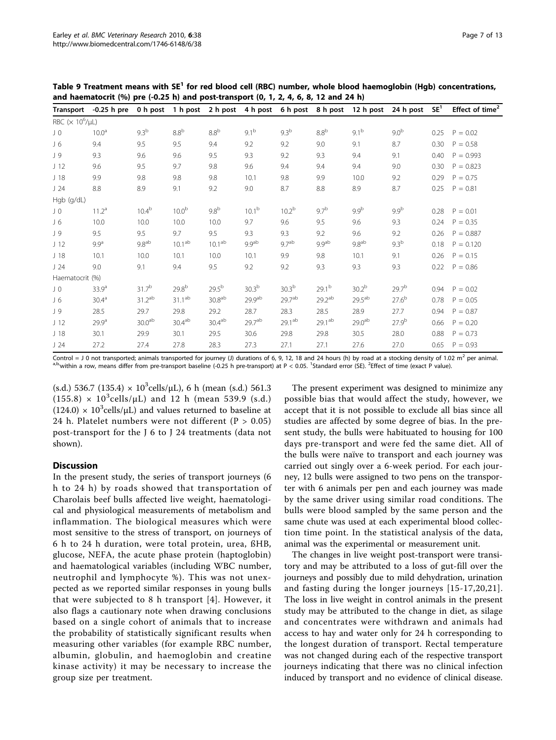<span id="page-6-0"></span>Table 9 Treatment means with SE<sup>1</sup> for red blood cell (RBC) number, whole blood haemoglobin (Hgb) concentrations, and haematocrit (%) pre  $(-0.25 \text{ h})$  and post-transport (0, 1, 2, 4, 6, 8, 12 and 24 h)

| <b>Transport</b>          | $-0.25$ h pre     | 0 h post           | 1 h post           |                    | 2 h post 4 h post 6 h post 8 h post |                    |                    | 12 h post          | 24 h post         | SE <sup>1</sup> | Effect of time <sup>2</sup> |
|---------------------------|-------------------|--------------------|--------------------|--------------------|-------------------------------------|--------------------|--------------------|--------------------|-------------------|-----------------|-----------------------------|
| RBC $(\times 10^6/\mu L)$ |                   |                    |                    |                    |                                     |                    |                    |                    |                   |                 |                             |
| JO                        | 10.0 <sup>a</sup> | 9.3 <sup>b</sup>   | 8.8 <sup>b</sup>   | 8.8 <sup>b</sup>   | $9.1^{b}$                           | 9.3 <sup>b</sup>   | 8.8 <sup>b</sup>   | $9.1^{b}$          | 9.0 <sup>b</sup>  | 0.25            | $P = 0.02$                  |
| $J_6$                     | 9.4               | 9.5                | 9.5                | 9.4                | 9.2                                 | 9.2                | 9.0                | 9.1                | 8.7               | 0.30            | $P = 0.58$                  |
| J 9                       | 9.3               | 9.6                | 9.6                | 9.5                | 9.3                                 | 9.2                | 9.3                | 9.4                | 9.1               | 0.40            | $P = 0.993$                 |
| J <sub>12</sub>           | 9.6               | 9.5                | 9.7                | 9.8                | 9.6                                 | 9.4                | 9.4                | 9.4                | 9.0               | 0.30            | $P = 0.823$                 |
| J <sub>18</sub>           | 9.9               | 9.8                | 9.8                | 9.8                | 10.1                                | 9.8                | 9.9                | 10.0               | 9.2               | 0.29            | $P = 0.75$                  |
| J24                       | 8.8               | 8.9                | 9.1                | 9.2                | 9.0                                 | 8.7                | 8.8                | 8.9                | 8.7               | 0.25            | $P = 0.81$                  |
| Hgb (g/dL)                |                   |                    |                    |                    |                                     |                    |                    |                    |                   |                 |                             |
| J O                       | $11.2^a$          | 10.4 <sup>b</sup>  | 10.0 <sup>b</sup>  | 9.8 <sup>b</sup>   | 10.1 <sup>b</sup>                   | 10.2 <sup>b</sup>  | $9.7^{b}$          | 9.9 <sup>b</sup>   | 9.9 <sup>b</sup>  | 0.28            | $P = 0.01$                  |
| $J_6$                     | 10.0              | 10.0               | 10.0               | 10.0               | 9.7                                 | 9.6                | 9.5                | 9.6                | 9.3               | 0.24            | $P = 0.35$                  |
| J 9                       | 9.5               | 9.5                | 9.7                | 9.5                | 9.3                                 | 9.3                | 9.2                | 9.6                | 9.2               | 0.26            | $P = 0.887$                 |
| J <sub>12</sub>           | 9.9 <sup>a</sup>  | 9.8 <sup>ab</sup>  | 10.1 <sup>ab</sup> | 10.1 <sup>ab</sup> | 9.9 <sup>ab</sup>                   | 9.7 <sup>ab</sup>  | 9.9 <sup>ab</sup>  | 9.8 <sup>ab</sup>  | 9.3 <sup>b</sup>  | 0.18            | $P = 0.120$                 |
| J <sub>18</sub>           | 10.1              | 10.0               | 10.1               | 10.0               | 10.1                                | 9.9                | 9.8                | 10.1               | 9.1               | 0.26            | $P = 0.15$                  |
| J24                       | 9.0               | 9.1                | 9.4                | 9.5                | 9.2                                 | 9.2                | 9.3                | 9.3                | 9.3               | 0.22            | $P = 0.86$                  |
| Haematocrit (%)           |                   |                    |                    |                    |                                     |                    |                    |                    |                   |                 |                             |
| JO                        | 33.9 <sup>a</sup> | 31.7 <sup>b</sup>  | $29.8^{b}$         | $29.5^{b}$         | 30.3 <sup>b</sup>                   | 30.3 <sup>b</sup>  | 29.1 <sup>b</sup>  | 30.2 <sup>b</sup>  | 29.7 <sup>b</sup> | 0.94            | $P = 0.02$                  |
| $J_6$                     | 30.4 <sup>a</sup> | 31.2 <sup>ab</sup> | $31.1^{ab}$        | 30.8 <sup>ab</sup> | $29.9^{ab}$                         | 29.7 <sup>ab</sup> | 29.2 <sup>ab</sup> | $29.5^{ab}$        | $27.6^{b}$        | 0.78            | $P = 0.05$                  |
| J 9                       | 28.5              | 29.7               | 29.8               | 29.2               | 28.7                                | 28.3               | 28.5               | 28.9               | 27.7              | 0.94            | $P = 0.87$                  |
| J <sub>12</sub>           | 29.9 <sup>a</sup> | 30.0 <sup>ab</sup> | 30.4 <sup>ab</sup> | 30.4 <sup>ab</sup> | $29.7^{ab}$                         | 29.1 <sup>ab</sup> | $29.1^{ab}$        | 29.0 <sup>ab</sup> | $27.9^{b}$        | 0.66            | $P = 0.20$                  |
| J <sub>18</sub>           | 30.1              | 29.9               | 30.1               | 29.5               | 30.6                                | 29.8               | 29.8               | 30.5               | 28.0              | 0.88            | $P = 0.73$                  |
| J24                       | 27.2              | 27.4               | 27.8               | 28.3               | 27.3                                | 27.1               | 27.1               | 27.6               | 27.0              | 0.65            | $P = 0.93$                  |

(s.d.) 536.7 (135.4)  $\times$  10<sup>3</sup> cells/ $\mu$ L), 6 h (mean (s.d.) 561.3  $(155.8) \times 10^3$ cells/µL) and 12 h (mean 539.9 (s.d.)  $(124.0) \times 10^3$ cells/µL) and values returned to baseline at 24 h. Platelet numbers were not different ( $P > 0.05$ ) post-transport for the J 6 to J 24 treatments (data not shown).

# **Discussion**

In the present study, the series of transport journeys (6 h to 24 h) by roads showed that transportation of Charolais beef bulls affected live weight, haematological and physiological measurements of metabolism and inflammation. The biological measures which were most sensitive to the stress of transport, on journeys of 6 h to 24 h duration, were total protein, urea, ßHB, glucose, NEFA, the acute phase protein (haptoglobin) and haematological variables (including WBC number, neutrophil and lymphocyte %). This was not unexpected as we reported similar responses in young bulls that were subjected to 8 h transport [[4](#page-11-0)]. However, it also flags a cautionary note when drawing conclusions based on a single cohort of animals that to increase the probability of statistically significant results when measuring other variables (for example RBC number, albumin, globulin, and haemoglobin and creatine kinase activity) it may be necessary to increase the group size per treatment.

The present experiment was designed to minimize any possible bias that would affect the study, however, we accept that it is not possible to exclude all bias since all studies are affected by some degree of bias. In the present study, the bulls were habituated to housing for 100 days pre-transport and were fed the same diet. All of the bulls were naïve to transport and each journey was carried out singly over a 6-week period. For each journey, 12 bulls were assigned to two pens on the transporter with 6 animals per pen and each journey was made by the same driver using similar road conditions. The bulls were blood sampled by the same person and the same chute was used at each experimental blood collection time point. In the statistical analysis of the data, animal was the experimental or measurement unit.

The changes in live weight post-transport were transitory and may be attributed to a loss of gut-fill over the journeys and possibly due to mild dehydration, urination and fasting during the longer journeys [\[15-17](#page-11-0),[20](#page-11-0),[21\]](#page-11-0). The loss in live weight in control animals in the present study may be attributed to the change in diet, as silage and concentrates were withdrawn and animals had access to hay and water only for 24 h corresponding to the longest duration of transport. Rectal temperature was not changed during each of the respective transport journeys indicating that there was no clinical infection induced by transport and no evidence of clinical disease.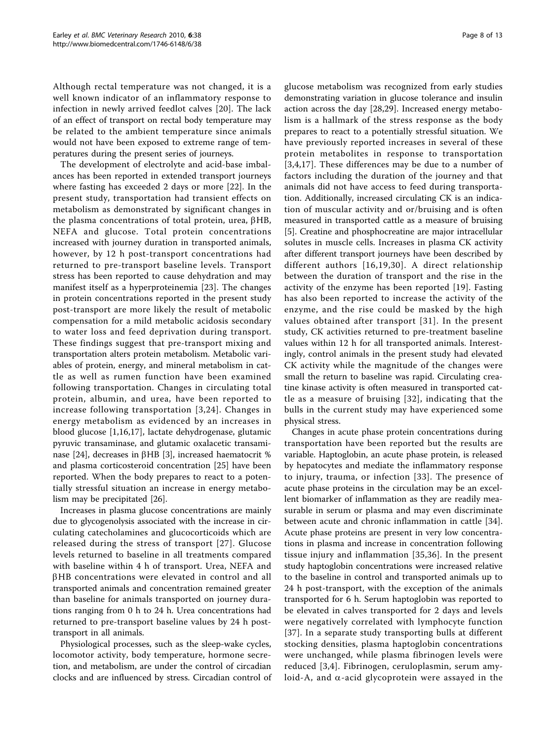Although rectal temperature was not changed, it is a well known indicator of an inflammatory response to infection in newly arrived feedlot calves [\[20\]](#page-11-0). The lack of an effect of transport on rectal body temperature may be related to the ambient temperature since animals would not have been exposed to extreme range of temperatures during the present series of journeys.

The development of electrolyte and acid-base imbalances has been reported in extended transport journeys where fasting has exceeded 2 days or more [\[22](#page-11-0)]. In the present study, transportation had transient effects on metabolism as demonstrated by significant changes in the plasma concentrations of total protein, urea,  $\beta$ HB, NEFA and glucose. Total protein concentrations increased with journey duration in transported animals, however, by 12 h post-transport concentrations had returned to pre-transport baseline levels. Transport stress has been reported to cause dehydration and may manifest itself as a hyperproteinemia [[23\]](#page-11-0). The changes in protein concentrations reported in the present study post-transport are more likely the result of metabolic compensation for a mild metabolic acidosis secondary to water loss and feed deprivation during transport. These findings suggest that pre-transport mixing and transportation alters protein metabolism. Metabolic variables of protein, energy, and mineral metabolism in cattle as well as rumen function have been examined following transportation. Changes in circulating total protein, albumin, and urea, have been reported to increase following transportation [[3](#page-11-0),[24](#page-11-0)]. Changes in energy metabolism as evidenced by an increases in blood glucose [\[1](#page-11-0),[16](#page-11-0),[17\]](#page-11-0), lactate dehydrogenase, glutamic pyruvic transaminase, and glutamic oxalacetic transami-nase [\[24\]](#page-11-0), decreases in  $\beta$ HB [\[3](#page-11-0)], increased haematocrit % and plasma corticosteroid concentration [\[25](#page-11-0)] have been reported. When the body prepares to react to a potentially stressful situation an increase in energy metabolism may be precipitated [\[26](#page-11-0)].

Increases in plasma glucose concentrations are mainly due to glycogenolysis associated with the increase in circulating catecholamines and glucocorticoids which are released during the stress of transport [[27\]](#page-11-0). Glucose levels returned to baseline in all treatments compared with baseline within 4 h of transport. Urea, NEFA and  $\beta$ HB concentrations were elevated in control and all transported animals and concentration remained greater than baseline for animals transported on journey durations ranging from 0 h to 24 h. Urea concentrations had returned to pre-transport baseline values by 24 h posttransport in all animals.

Physiological processes, such as the sleep-wake cycles, locomotor activity, body temperature, hormone secretion, and metabolism, are under the control of circadian clocks and are influenced by stress. Circadian control of

glucose metabolism was recognized from early studies demonstrating variation in glucose tolerance and insulin action across the day [[28,29\]](#page-11-0). Increased energy metabolism is a hallmark of the stress response as the body prepares to react to a potentially stressful situation. We have previously reported increases in several of these protein metabolites in response to transportation [[3,4,17](#page-11-0)]. These differences may be due to a number of factors including the duration of the journey and that animals did not have access to feed during transportation. Additionally, increased circulating CK is an indication of muscular activity and or/bruising and is often measured in transported cattle as a measure of bruising [[5\]](#page-11-0). Creatine and phosphocreatine are major intracellular solutes in muscle cells. Increases in plasma CK activity after different transport journeys have been described by different authors [[16,19](#page-11-0),[30](#page-11-0)]. A direct relationship between the duration of transport and the rise in the activity of the enzyme has been reported [[19\]](#page-11-0). Fasting has also been reported to increase the activity of the enzyme, and the rise could be masked by the high values obtained after transport [[31](#page-11-0)]. In the present study, CK activities returned to pre-treatment baseline values within 12 h for all transported animals. Interestingly, control animals in the present study had elevated CK activity while the magnitude of the changes were small the return to baseline was rapid. Circulating creatine kinase activity is often measured in transported cattle as a measure of bruising [[32\]](#page-11-0), indicating that the bulls in the current study may have experienced some physical stress.

Changes in acute phase protein concentrations during transportation have been reported but the results are variable. Haptoglobin, an acute phase protein, is released by hepatocytes and mediate the inflammatory response to injury, trauma, or infection [[33](#page-11-0)]. The presence of acute phase proteins in the circulation may be an excellent biomarker of inflammation as they are readily measurable in serum or plasma and may even discriminate between acute and chronic inflammation in cattle [[34](#page-11-0)]. Acute phase proteins are present in very low concentrations in plasma and increase in concentration following tissue injury and inflammation [[35](#page-11-0),[36](#page-11-0)]. In the present study haptoglobin concentrations were increased relative to the baseline in control and transported animals up to 24 h post-transport, with the exception of the animals transported for 6 h. Serum haptoglobin was reported to be elevated in calves transported for 2 days and levels were negatively correlated with lymphocyte function [[37](#page-11-0)]. In a separate study transporting bulls at different stocking densities, plasma haptoglobin concentrations were unchanged, while plasma fibrinogen levels were reduced [[3](#page-11-0),[4\]](#page-11-0). Fibrinogen, ceruloplasmin, serum amyloid-A, and  $\alpha$ -acid glycoprotein were assayed in the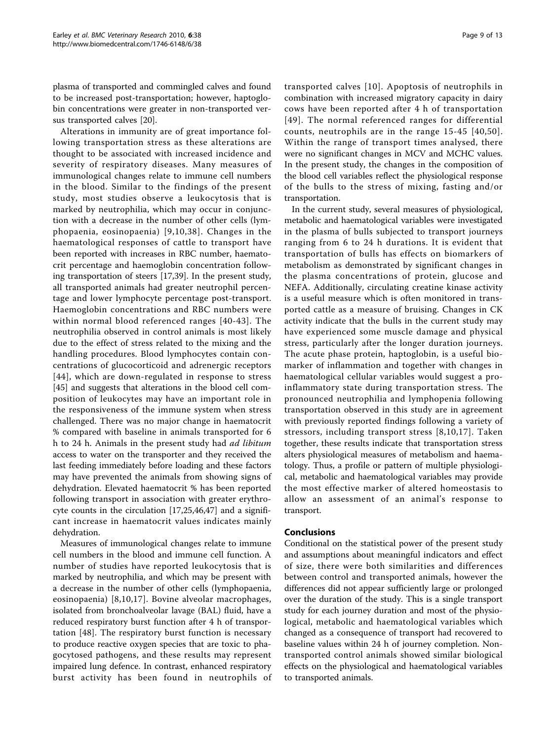plasma of transported and commingled calves and found to be increased post-transportation; however, haptoglobin concentrations were greater in non-transported versus transported calves [\[20](#page-11-0)].

Alterations in immunity are of great importance following transportation stress as these alterations are thought to be associated with increased incidence and severity of respiratory diseases. Many measures of immunological changes relate to immune cell numbers in the blood. Similar to the findings of the present study, most studies observe a leukocytosis that is marked by neutrophilia, which may occur in conjunction with a decrease in the number of other cells (lymphopaenia, eosinopaenia) [[9,10](#page-11-0),[38](#page-11-0)]. Changes in the haematological responses of cattle to transport have been reported with increases in RBC number, haematocrit percentage and haemoglobin concentration following transportation of steers [[17,39\]](#page-11-0). In the present study, all transported animals had greater neutrophil percentage and lower lymphocyte percentage post-transport. Haemoglobin concentrations and RBC numbers were within normal blood referenced ranges [[40](#page-11-0)-[43\]](#page-11-0). The neutrophilia observed in control animals is most likely due to the effect of stress related to the mixing and the handling procedures. Blood lymphocytes contain concentrations of glucocorticoid and adrenergic receptors [[44\]](#page-11-0), which are down-regulated in response to stress [[45\]](#page-11-0) and suggests that alterations in the blood cell composition of leukocytes may have an important role in the responsiveness of the immune system when stress challenged. There was no major change in haematocrit % compared with baseline in animals transported for 6 h to 24 h. Animals in the present study had ad libitum access to water on the transporter and they received the last feeding immediately before loading and these factors may have prevented the animals from showing signs of dehydration. Elevated haematocrit % has been reported following transport in association with greater erythrocyte counts in the circulation [\[17,25,46](#page-11-0)[,47](#page-12-0)] and a significant increase in haematocrit values indicates mainly dehydration.

Measures of immunological changes relate to immune cell numbers in the blood and immune cell function. A number of studies have reported leukocytosis that is marked by neutrophilia, and which may be present with a decrease in the number of other cells (lymphopaenia, eosinopaenia) [[8,10](#page-11-0),[17](#page-11-0)]. Bovine alveolar macrophages, isolated from bronchoalveolar lavage (BAL) fluid, have a reduced respiratory burst function after 4 h of transportation [[48](#page-12-0)]. The respiratory burst function is necessary to produce reactive oxygen species that are toxic to phagocytosed pathogens, and these results may represent impaired lung defence. In contrast, enhanced respiratory burst activity has been found in neutrophils of transported calves [[10\]](#page-11-0). Apoptosis of neutrophils in combination with increased migratory capacity in dairy cows have been reported after 4 h of transportation [[49](#page-12-0)]. The normal referenced ranges for differential counts, neutrophils are in the range 15-45 [[40](#page-11-0),[50\]](#page-12-0). Within the range of transport times analysed, there were no significant changes in MCV and MCHC values. In the present study, the changes in the composition of the blood cell variables reflect the physiological response of the bulls to the stress of mixing, fasting and/or transportation.

In the current study, several measures of physiological, metabolic and haematological variables were investigated in the plasma of bulls subjected to transport journeys ranging from 6 to 24 h durations. It is evident that transportation of bulls has effects on biomarkers of metabolism as demonstrated by significant changes in the plasma concentrations of protein, glucose and NEFA. Additionally, circulating creatine kinase activity is a useful measure which is often monitored in transported cattle as a measure of bruising. Changes in CK activity indicate that the bulls in the current study may have experienced some muscle damage and physical stress, particularly after the longer duration journeys. The acute phase protein, haptoglobin, is a useful biomarker of inflammation and together with changes in haematological cellular variables would suggest a proinflammatory state during transportation stress. The pronounced neutrophilia and lymphopenia following transportation observed in this study are in agreement with previously reported findings following a variety of stressors, including transport stress [[8,10,17\]](#page-11-0). Taken together, these results indicate that transportation stress alters physiological measures of metabolism and haematology. Thus, a profile or pattern of multiple physiological, metabolic and haematological variables may provide the most effective marker of altered homeostasis to allow an assessment of an animal's response to transport.

#### Conclusions

Conditional on the statistical power of the present study and assumptions about meaningful indicators and effect of size, there were both similarities and differences between control and transported animals, however the differences did not appear sufficiently large or prolonged over the duration of the study. This is a single transport study for each journey duration and most of the physiological, metabolic and haematological variables which changed as a consequence of transport had recovered to baseline values within 24 h of journey completion. Nontransported control animals showed similar biological effects on the physiological and haematological variables to transported animals.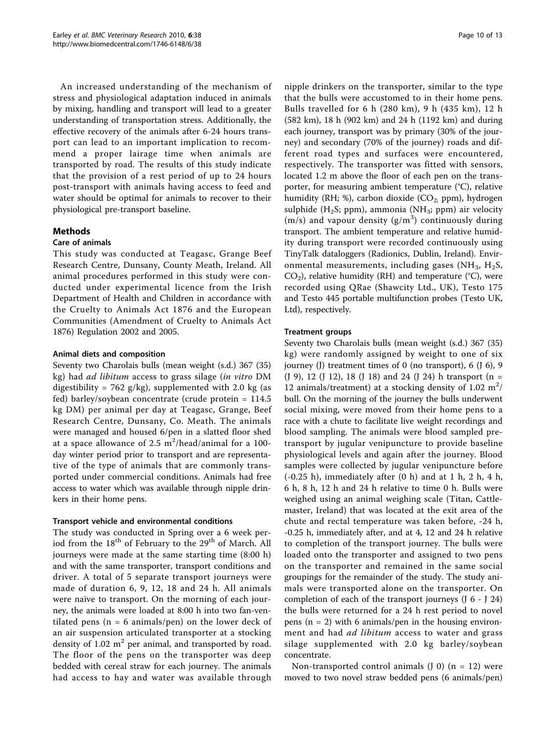An increased understanding of the mechanism of stress and physiological adaptation induced in animals by mixing, handling and transport will lead to a greater understanding of transportation stress. Additionally, the effective recovery of the animals after 6-24 hours transport can lead to an important implication to recommend a proper lairage time when animals are transported by road. The results of this study indicate that the provision of a rest period of up to 24 hours post-transport with animals having access to feed and water should be optimal for animals to recover to their physiological pre-transport baseline.

# Methods

#### Care of animals

This study was conducted at Teagasc, Grange Beef Research Centre, Dunsany, County Meath, Ireland. All animal procedures performed in this study were conducted under experimental licence from the Irish Department of Health and Children in accordance with the Cruelty to Animals Act 1876 and the European Communities (Amendment of Cruelty to Animals Act 1876) Regulation 2002 and 2005.

#### Animal diets and composition

Seventy two Charolais bulls (mean weight (s.d.) 367 (35) kg) had ad libitum access to grass silage (in vitro DM digestibility = 762 g/kg), supplemented with 2.0 kg (as fed) barley/soybean concentrate (crude protein = 114.5 kg DM) per animal per day at Teagasc, Grange, Beef Research Centre, Dunsany, Co. Meath. The animals were managed and housed 6/pen in a slatted floor shed at a space allowance of 2.5  $\text{m}^2$ /head/animal for a 100day winter period prior to transport and are representative of the type of animals that are commonly transported under commercial conditions. Animals had free access to water which was available through nipple drinkers in their home pens.

#### Transport vehicle and environmental conditions

The study was conducted in Spring over a 6 week period from the  $18^{th}$  of February to the  $29^{th}$  of March. All journeys were made at the same starting time (8:00 h) and with the same transporter, transport conditions and driver. A total of 5 separate transport journeys were made of duration 6, 9, 12, 18 and 24 h. All animals were naïve to transport. On the morning of each journey, the animals were loaded at 8:00 h into two fan-ventilated pens ( $n = 6$  animals/pen) on the lower deck of an air suspension articulated transporter at a stocking density of  $1.02 \text{ m}^2$  per animal, and transported by road. The floor of the pens on the transporter was deep bedded with cereal straw for each journey. The animals had access to hay and water was available through nipple drinkers on the transporter, similar to the type that the bulls were accustomed to in their home pens. Bulls travelled for 6 h (280 km), 9 h (435 km), 12 h (582 km), 18 h (902 km) and 24 h (1192 km) and during each journey, transport was by primary (30% of the journey) and secondary (70% of the journey) roads and different road types and surfaces were encountered, respectively. The transporter was fitted with sensors, located 1.2 m above the floor of each pen on the transporter, for measuring ambient temperature (°C), relative humidity (RH; %), carbon dioxide ( $CO<sub>2</sub>$ ; ppm), hydrogen sulphide (H<sub>2</sub>S; ppm), ammonia (NH<sub>3</sub>; ppm) air velocity ( $m/s$ ) and vapour density ( $g/m<sup>3</sup>$ ) continuously during transport. The ambient temperature and relative humidity during transport were recorded continuously using TinyTalk dataloggers (Radionics, Dublin, Ireland). Environmental measurements, including gases ( $NH<sub>3</sub>$ ,  $H<sub>2</sub>S$ ,  $CO<sub>2</sub>$ ), relative humidity (RH) and temperature (°C), were recorded using QRae (Shawcity Ltd., UK), Testo 175 and Testo 445 portable multifunction probes (Testo UK, Ltd), respectively.

#### Treatment groups

Seventy two Charolais bulls (mean weight (s.d.) 367 (35) kg) were randomly assigned by weight to one of six journey (J) treatment times of 0 (no transport), 6 (J 6), 9 (J 9), 12 (J 12), 18 (J 18) and 24 (J 24) h transport (n = 12 animals/treatment) at a stocking density of 1.02  $m^2$ / bull. On the morning of the journey the bulls underwent social mixing, were moved from their home pens to a race with a chute to facilitate live weight recordings and blood sampling. The animals were blood sampled pretransport by jugular venipuncture to provide baseline physiological levels and again after the journey. Blood samples were collected by jugular venipuncture before  $(-0.25 h)$ , immediately after  $(0 h)$  and at 1 h, 2 h, 4 h, 6 h, 8 h, 12 h and 24 h relative to time 0 h. Bulls were weighed using an animal weighing scale (Titan, Cattlemaster, Ireland) that was located at the exit area of the chute and rectal temperature was taken before, -24 h, -0.25 h, immediately after, and at 4, 12 and 24 h relative to completion of the transport journey. The bulls were loaded onto the transporter and assigned to two pens on the transporter and remained in the same social groupings for the remainder of the study. The study animals were transported alone on the transporter. On completion of each of the transport journeys (J 6 - J 24) the bulls were returned for a 24 h rest period to novel pens  $(n = 2)$  with 6 animals/pen in the housing environment and had *ad libitum* access to water and grass silage supplemented with 2.0 kg barley/soybean concentrate.

Non-transported control animals  $(J 0)$   $(n = 12)$  were moved to two novel straw bedded pens (6 animals/pen)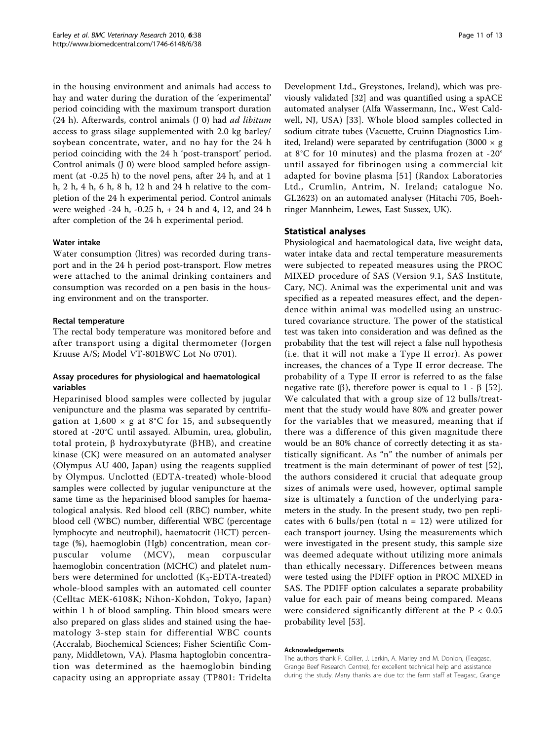in the housing environment and animals had access to hay and water during the duration of the 'experimental' period coinciding with the maximum transport duration  $(24 h)$ . Afterwards, control animals  $(J 0)$  had *ad libitum* access to grass silage supplemented with 2.0 kg barley/ soybean concentrate, water, and no hay for the 24 h period coinciding with the 24 h 'post-transport' period. Control animals (J 0) were blood sampled before assignment (at -0.25 h) to the novel pens, after 24 h, and at 1 h, 2 h, 4 h, 6 h, 8 h, 12 h and 24 h relative to the completion of the 24 h experimental period. Control animals were weighed -24 h, -0.25 h, + 24 h and 4, 12, and 24 h after completion of the 24 h experimental period.

#### Water intake

Water consumption (litres) was recorded during transport and in the 24 h period post-transport. Flow metres were attached to the animal drinking containers and consumption was recorded on a pen basis in the housing environment and on the transporter.

# Rectal temperature

The rectal body temperature was monitored before and after transport using a digital thermometer (Jorgen Kruuse A/S; Model VT-801BWC Lot No 0701).

# Assay procedures for physiological and haematological variables

Heparinised blood samples were collected by jugular venipuncture and the plasma was separated by centrifugation at  $1,600 \times g$  at 8°C for 15, and subsequently stored at -20°C until assayed. Albumin, urea, globulin, total protein,  $\beta$  hydroxybutyrate ( $\beta$ HB), and creatine kinase (CK) were measured on an automated analyser (Olympus AU 400, Japan) using the reagents supplied by Olympus. Unclotted (EDTA-treated) whole-blood samples were collected by jugular venipuncture at the same time as the heparinised blood samples for haematological analysis. Red blood cell (RBC) number, white blood cell (WBC) number, differential WBC (percentage lymphocyte and neutrophil), haematocrit (HCT) percentage (%), haemoglobin (Hgb) concentration, mean corpuscular volume (MCV), mean corpuscular haemoglobin concentration (MCHC) and platelet numbers were determined for unclotted  $(K_3$ -EDTA-treated) whole-blood samples with an automated cell counter (Celltac MEK-6108K; Nihon-Kohdon, Tokyo, Japan) within 1 h of blood sampling. Thin blood smears were also prepared on glass slides and stained using the haematology 3-step stain for differential WBC counts (Accralab, Biochemical Sciences; Fisher Scientific Company, Middletown, VA). Plasma haptoglobin concentration was determined as the haemoglobin binding capacity using an appropriate assay (TP801: Tridelta Development Ltd., Greystones, Ireland), which was previously validated [[32](#page-11-0)] and was quantified using a spACE automated analyser (Alfa Wassermann, Inc., West Caldwell, NJ, USA) [[33](#page-11-0)]. Whole blood samples collected in sodium citrate tubes (Vacuette, Cruinn Diagnostics Limited, Ireland) were separated by centrifugation (3000  $\times$  g at 8°C for 10 minutes) and the plasma frozen at -20° until assayed for fibrinogen using a commercial kit adapted for bovine plasma [[51](#page-12-0)] (Randox Laboratories Ltd., Crumlin, Antrim, N. Ireland; catalogue No. GL2623) on an automated analyser (Hitachi 705, Boehringer Mannheim, Lewes, East Sussex, UK).

# Statistical analyses

Physiological and haematological data, live weight data, water intake data and rectal temperature measurements were subjected to repeated measures using the PROC MIXED procedure of SAS (Version 9.1, SAS Institute, Cary, NC). Animal was the experimental unit and was specified as a repeated measures effect, and the dependence within animal was modelled using an unstructured covariance structure. The power of the statistical test was taken into consideration and was defined as the probability that the test will reject a false null hypothesis (i.e. that it will not make a Type II error). As power increases, the chances of a Type II error decrease. The probability of a Type II error is referred to as the false negative rate ( $\beta$ ), therefore power is equal to 1 -  $\beta$  [\[52](#page-12-0)]. We calculated that with a group size of 12 bulls/treatment that the study would have 80% and greater power for the variables that we measured, meaning that if there was a difference of this given magnitude there would be an 80% chance of correctly detecting it as statistically significant. As "n" the number of animals per treatment is the main determinant of power of test [\[52](#page-12-0)], the authors considered it crucial that adequate group sizes of animals were used, however, optimal sample size is ultimately a function of the underlying parameters in the study. In the present study, two pen replicates with 6 bulls/pen (total  $n = 12$ ) were utilized for each transport journey. Using the measurements which were investigated in the present study, this sample size was deemed adequate without utilizing more animals than ethically necessary. Differences between means were tested using the PDIFF option in PROC MIXED in SAS. The PDIFF option calculates a separate probability value for each pair of means being compared. Means were considered significantly different at the  $P < 0.05$ probability level [\[53](#page-12-0)].

#### Acknowledgements

The authors thank F. Collier, J. Larkin, A. Marley and M. Donlon, (Teagasc, Grange Beef Research Centre), for excellent technical help and assistance during the study. Many thanks are due to: the farm staff at Teagasc, Grange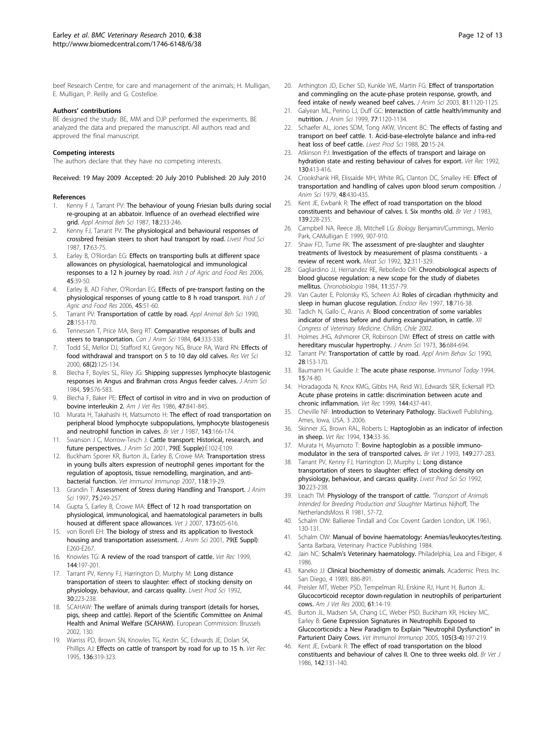<span id="page-11-0"></span>beef Research Centre, for care and management of the animals; H. Mulligan, E. Mulligan, P. Reilly and G. Costelloe.

#### Authors' contributions

BE designed the study. BE, MM and DJP performed the experiments. BE analyzed the data and prepared the manuscript. All authors read and approved the final manuscript.

#### Competing interests

The authors declare that they have no competing interests.

Received: 19 May 2009 Accepted: 20 July 2010 Published: 20 July 2010

#### References

- Kenny F J, Tarrant PV: The behaviour of young Friesian bulls during social re-grouping at an abbatoir. Influence of an overhead electrified wire grid. Appl Animal Beh Sci 1987, 18:233-246.
- Kenny FJ, Tarrant PV: The physiological and behavioural responses of crossbred freisian steers to short haul transport by road. Livest Prod Sci 1987, 17:63-75.
- 3. Earley B, O'Riordan EG: Effects on transporting bulls at different space allowances on physiological, haematological and immunological responses to a 12 h journey by road. Irish J of Agric and Food Res 2006, 45:39-50.
- 4. Earley B, AD Fisher, O'Riordan EG: Effects of pre-transport fasting on the physiological responses of young cattle to 8 h road transport. Irish J of Agric and Food Res 2006, 45:51-60.
- 5. Tarrant PV: Transportation of cattle by road. Appl Animal Beh Sci 1990, 28:153-170.
- 6. Tennessen T, Price MA, Berg RT: Comparative responses of bulls and steers to transportation. Can J Anim Sci 1984, 64:333-338.
- 7. Todd SE, Mellor DJ, Stafford KJ, Gregory NG, Bruce RA, Ward RN: [Effects of](http://www.ncbi.nlm.nih.gov/pubmed/10756129?dopt=Abstract) [food withdrawal and transport on 5 to 10 day old calves.](http://www.ncbi.nlm.nih.gov/pubmed/10756129?dopt=Abstract) Res Vet Sci 2000, 68(2):125-134.
- 8. Blecha F, Boyles SL, Riley JG: [Shipping suppresses lymphocyte blastogenic](http://www.ncbi.nlm.nih.gov/pubmed/6490547?dopt=Abstract) [responses in Angus and Brahman cross Angus feeder calves.](http://www.ncbi.nlm.nih.gov/pubmed/6490547?dopt=Abstract) J Anim Sci 1984, 59:576-583.
- 9. Blecha F, Baker PE: [Effect of cortisol in vitro and in vivo on production of](http://www.ncbi.nlm.nih.gov/pubmed/3485943?dopt=Abstract) [bovine interleukin 2.](http://www.ncbi.nlm.nih.gov/pubmed/3485943?dopt=Abstract) Am J Vet Res 1986, 47:841-845.
- 10. Murata H, Takahashi H, Matsumoto H: [The effect of road transportation on](http://www.ncbi.nlm.nih.gov/pubmed/3495314?dopt=Abstract) [peripheral blood lymphocyte subpopulations, lymphocyte blastogenesis](http://www.ncbi.nlm.nih.gov/pubmed/3495314?dopt=Abstract) [and neutrophil function in calves.](http://www.ncbi.nlm.nih.gov/pubmed/3495314?dopt=Abstract) Br Vet J 1987, 143:166-174.
- 11. Swanson J C, Morrow-Tesch J: Cattle transport: Historical, research, and future perspectives. J Anim Sci 2001, 79(E Supple):E102-E109.
- 12. Buckham Sporer KR, Burton JL, Earley B, Crowe MA: Transportation stress in young bulls alters expression of neutrophil genes important for the regulation of apoptosis, tissue remodelling, margination, and antibacterial function. Vet Immunol Immunop 2007, 118:19-29.
- 13. Grandin T: [Assessment of Stress during Handling and Transport.](http://www.ncbi.nlm.nih.gov/pubmed/9027573?dopt=Abstract) J Anim Sci 1997, 75:249-257.
- 14. Gupta S, Earley B, Crowe MA: [Effect of 12 h road transportation on](http://www.ncbi.nlm.nih.gov/pubmed/16632387?dopt=Abstract) [physiological, immunological, and haematological parameters in bulls](http://www.ncbi.nlm.nih.gov/pubmed/16632387?dopt=Abstract) [housed at different space allowances.](http://www.ncbi.nlm.nih.gov/pubmed/16632387?dopt=Abstract) Vet J 2007, 173:605-616.
- 15. von Borell EH: The biology of stress and its application to livestock housing and transportation assessment. J Anim Sci 2001, 79(E Suppl): E260-E267.
- 16. Knowles TG: [A review of the road transport of cattle.](http://www.ncbi.nlm.nih.gov/pubmed/10097341?dopt=Abstract) Vet Rec 1999, 144:197-201.
- 17. Tarrant PV, Kenny FJ, Harrington D, Murphy M: Long distance transportation of steers to slaughter: effect of stocking density on physiology, behaviour, and carcass quality. Livest Prod Sci 1992, 30:223-238.
- 18. SCAHAW: The welfare of animals during transport (details for horses, pigs, sheep and cattle). Report of the Scientific Committee on Animal Health and Animal Welfare (SCAHAW). European Commission: Brussels 2002, 130.
- 19. Warriss PD, Brown SN, Knowles TG, Kestin SC, Edwards JE, Dolan SK, Phillips AJ: [Effects on cattle of transport by road for up to 15 h.](http://www.ncbi.nlm.nih.gov/pubmed/7604507?dopt=Abstract) Vet Rec 1995, 136:319-323.
- 20. Arthington JD, Eicher SD, Kunkle WE, Martin FG: [Effect of transportation](http://www.ncbi.nlm.nih.gov/pubmed/12772837?dopt=Abstract) [and commingling on the acute-phase protein response, growth, and](http://www.ncbi.nlm.nih.gov/pubmed/12772837?dopt=Abstract) [feed intake of newly weaned beef calves.](http://www.ncbi.nlm.nih.gov/pubmed/12772837?dopt=Abstract) J Anim Sci 2003, 81:1120-1125.
- 21. Galyean ML, Perino LJ, Duff GC: [Interaction of cattle health/immunity and](http://www.ncbi.nlm.nih.gov/pubmed/10340578?dopt=Abstract) [nutrition.](http://www.ncbi.nlm.nih.gov/pubmed/10340578?dopt=Abstract) J Anim Sci 1999, 77:1120-1134.
- 22. Schaefer AL, Jones SDM, Tong AKW, Vincent BC: The effects of fasting and transport on beef cattle. 1. Acid-base-electrolyte balance and infra-red heat loss of beef cattle. Livest Prod Sci 1988, 20:15-24.
- 23. Atkinson PJ: [Investigation of the effects of transport and lairage on](http://www.ncbi.nlm.nih.gov/pubmed/1609474?dopt=Abstract) [hydration state and resting behaviour of calves for export.](http://www.ncbi.nlm.nih.gov/pubmed/1609474?dopt=Abstract) Vet Rec 1992, 130:413-416.
- 24. Crookshank HR, Elissalde MH, White RG, Clanton DC, Smalley HE: [Effect of](http://www.ncbi.nlm.nih.gov/pubmed/528410?dopt=Abstract) [transportation and handling of calves upon blood serum composition.](http://www.ncbi.nlm.nih.gov/pubmed/528410?dopt=Abstract) J Anim Sci 1979, 48:430-435.
- 25. Kent JE, Ewbank R: [The effect of road transportation on the blood](http://www.ncbi.nlm.nih.gov/pubmed/6860925?dopt=Abstract) [constituents and behaviour of calves. I. Six months old.](http://www.ncbi.nlm.nih.gov/pubmed/6860925?dopt=Abstract) Br Vet J 1983, 139:228-235.
- 26. Campbell NA, Reece JB, Mitchell LG: Biology Benjamin/Cummings, Menlo Park, CAMulligan E 1999, 907-910.
- 27. Shaw FD, Tume RK: The assessment of pre-slaughter and slaughter treatments of livestock by measurement of plasma constituents - a review of recent work. Meat Sci 1992, 32:311-329.
- 28. Gagliardino JJ, Hernandez RE, Rebolledo OR: [Chronobiological aspects of](http://www.ncbi.nlm.nih.gov/pubmed/6397339?dopt=Abstract) [blood glucose regulation: a new scope for the study of diabetes](http://www.ncbi.nlm.nih.gov/pubmed/6397339?dopt=Abstract) [mellitus.](http://www.ncbi.nlm.nih.gov/pubmed/6397339?dopt=Abstract) Chronobiologia 1984, 11:357-79.
- 29. Van Cauter E, Polonsky KS, Scheen AJ: [Roles of circadian rhythmicity and](http://www.ncbi.nlm.nih.gov/pubmed/9331550?dopt=Abstract) [sleep in human glucose regulation.](http://www.ncbi.nlm.nih.gov/pubmed/9331550?dopt=Abstract) Endocr Rev 1997, 18:716-38.
- 30. Tadich N, Gallo C, Aranis A: Blood concentration of some variables indicator of stress before and during exsanguination, in cattle. XII Congress of Veterinary Medicine. Chillán, Chile 2002.
- 31. Holmes JHG, Ashmorer CR, Robinson DW: [Effect of stress on cattle with](http://www.ncbi.nlm.nih.gov/pubmed/4735781?dopt=Abstract) [hereditary muscular hypertrophy.](http://www.ncbi.nlm.nih.gov/pubmed/4735781?dopt=Abstract) J Anim Sci 1973, 36:684-694
- 32. Tarrant PV: Transportation of cattle by road. Appl Anim Behav Sci 1990, 28:153-170.
- 33. Baumann H, Gauldie J: [The acute phase response.](http://www.ncbi.nlm.nih.gov/pubmed/7512342?dopt=Abstract) Immunol Today 1994, 15:74-80.
- 34. Horadagoda N, Knox KMG, Gibbs HA, Reid WJ, Edwards SER, Eckersall PD: [Acute phase proteins in cattle: discrimination between acute and](http://www.ncbi.nlm.nih.gov/pubmed/10343375?dopt=Abstract) [chronic inflammation.](http://www.ncbi.nlm.nih.gov/pubmed/10343375?dopt=Abstract) Vet Rec 1999, 144:437-441.
- 35. Cheville NF: Introduction to Veterinary Pathology. Blackwell Publishing, Ames, Iowa, USA, 3 2006.
- 36. Skinner JG, Brown RAL, Roberts L: [Haptoglobin as an indicator of infection](http://www.ncbi.nlm.nih.gov/pubmed/8135004?dopt=Abstract) [in sheep.](http://www.ncbi.nlm.nih.gov/pubmed/8135004?dopt=Abstract) Vet Rec 1994, 134:33-36.
- 37. Murata H, Miyamoto T: [Bovine haptoglobin as a possible immuno](http://www.ncbi.nlm.nih.gov/pubmed/8334509?dopt=Abstract)[modulator in the sera of transported calves.](http://www.ncbi.nlm.nih.gov/pubmed/8334509?dopt=Abstract) Br Vet J 1993, 149:277-283.
- 38. Tarrant PV, Kenny FJ, Harrington D, Murphy L: Long distance transportation of steers to slaughter: effect of stocking density on physiology, behaviour, and carcass quality. Livest Prod Sci Sci 1992, 30:223-238.
- 39. Leach TM: Physiology of the transport of cattle. "Transport of Animals Intended for Breeding Production and Slaughter Martinus Nijhoff, The NetherlandsMoss R 1981, 57-72.
- Schalm OW: Ballieree Tindall and Cox Covent Garden London, UK 1961, 130-131.
- 41. Schalm OW: Manual of bovine haematology: Anemias/leukocytes/testing. Santa Barbara, Veterinary Practice Publishing 1984.
- 42. Jain NC: Schalm's Veterinary haematology. Philadelphia, Lea and Fibiger, 4 1986.
- 43. Kaneko JJ: Clinical biochemistry of domestic animals. Academic Press Inc. San Diego, 4 1989, 886-891.
- 44. Preisler MT, Weber PSD, Tempelman RJ, Erskine RJ, Hunt H, Burton JL: [Glucocorticoid receptor down-regulation in neutrophils of periparturient](http://www.ncbi.nlm.nih.gov/pubmed/10630771?dopt=Abstract) [cows.](http://www.ncbi.nlm.nih.gov/pubmed/10630771?dopt=Abstract) Am J Vet Res 2000, 61:14-19.
- 45. Burton JL, Madsen SA, Chang LC, Weber PSD, Buckham KR, Hickey MC, Earley B: Gene Expression Signatures in Neutrophils Exposed to Glucocorticoids: a New Paradigm to Explain "Neutrophil Dysfunction" in Parturient Dairy Cows. Vet Immunol Immunop 2005, 105(3-4):197-219.
- Kent JE, Ewbank R: [The effect of road transportation on the blood](http://www.ncbi.nlm.nih.gov/pubmed/3708306?dopt=Abstract) [constituents and behaviour of calves II. One to three weeks old.](http://www.ncbi.nlm.nih.gov/pubmed/3708306?dopt=Abstract) Br Vet J 1986, 142:131-140.